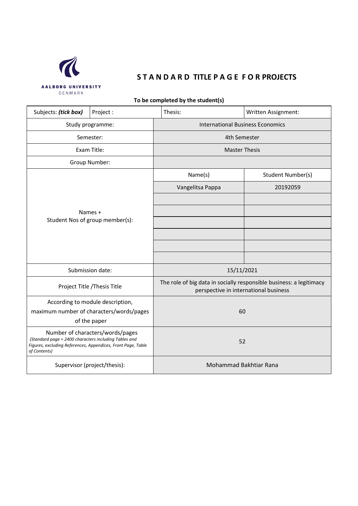

# **S T A N D A R D TITLE P A G E F O R PROJECTS**

**To be completed by the student(s)**

| Subjects: (tick box)                                                                                                                  | Project:                                   | Thesis:                                                                                                      | Written Assignment: |  |
|---------------------------------------------------------------------------------------------------------------------------------------|--------------------------------------------|--------------------------------------------------------------------------------------------------------------|---------------------|--|
|                                                                                                                                       | Study programme:                           | <b>International Business Economics</b>                                                                      |                     |  |
|                                                                                                                                       | Semester:                                  | 4th Semester                                                                                                 |                     |  |
|                                                                                                                                       | Exam Title:                                | <b>Master Thesis</b>                                                                                         |                     |  |
|                                                                                                                                       | Group Number:                              |                                                                                                              |                     |  |
|                                                                                                                                       |                                            | Name(s)                                                                                                      | Student Number(s)   |  |
|                                                                                                                                       |                                            | Vangelitsa Pappa                                                                                             | 20192059            |  |
|                                                                                                                                       |                                            |                                                                                                              |                     |  |
|                                                                                                                                       | Names +<br>Student Nos of group member(s): |                                                                                                              |                     |  |
|                                                                                                                                       |                                            |                                                                                                              |                     |  |
|                                                                                                                                       |                                            |                                                                                                              |                     |  |
|                                                                                                                                       |                                            |                                                                                                              |                     |  |
|                                                                                                                                       |                                            |                                                                                                              |                     |  |
|                                                                                                                                       | Submission date:                           | 15/11/2021                                                                                                   |                     |  |
|                                                                                                                                       | Project Title / Thesis Title               | The role of big data in socially responsible business: a legitimacy<br>perspective in international business |                     |  |
|                                                                                                                                       | According to module description,           |                                                                                                              |                     |  |
| maximum number of characters/words/pages<br>of the paper                                                                              |                                            | 60                                                                                                           |                     |  |
|                                                                                                                                       |                                            |                                                                                                              |                     |  |
| (Standard page = 2400 characters including Tables and<br>Figures, excluding References, Appendices, Front Page, Table<br>of Contents) | Number of characters/words/pages           | 52                                                                                                           |                     |  |
|                                                                                                                                       | Supervisor (project/thesis):               | Mohammad Bakhtiar Rana                                                                                       |                     |  |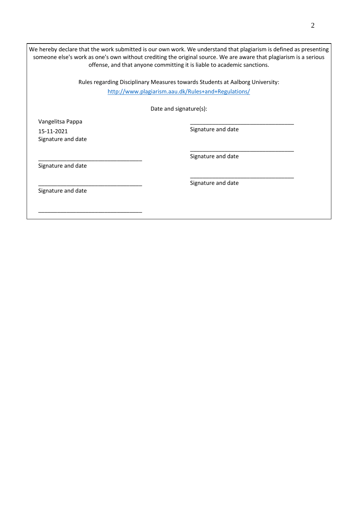We hereby declare that the work submitted is our own work. We understand that plagiarism is defined as presenting someone else's work as one's own without crediting the original source. We are aware that plagiarism is a serious offense, and that anyone committing it is liable to academic sanctions.

> Rules regarding Disciplinary Measures towards Students at Aalborg University: <http://www.plagiarism.aau.dk/Rules+and+Regulations/>

> > Date and signature(s):

Vangelitsa Pappa 15-11-2021 Signature and date

Signature and date

\_\_\_\_\_\_\_\_\_\_\_\_\_\_\_\_\_\_\_\_\_\_\_\_\_\_\_\_\_\_\_\_\_ Signature and date

> \_\_\_\_\_\_\_\_\_\_\_\_\_\_\_\_\_\_\_\_\_\_\_\_\_\_\_\_\_\_\_\_\_ Signature and date

Signature and date

Signature and date

Signature and date of the signature and date of the signature and date of the signature and date of the signature

\_\_\_\_\_\_\_\_\_\_\_\_\_\_\_\_\_\_\_\_\_\_\_\_\_\_\_\_\_\_\_\_\_

\_\_\_\_\_\_\_\_\_\_\_\_\_\_\_\_\_\_\_\_\_\_\_\_\_\_\_\_\_\_\_\_\_

\_\_\_\_\_\_\_\_\_\_\_\_\_\_\_\_\_\_\_\_\_\_\_\_\_\_\_\_\_\_\_\_\_

\_\_\_\_\_\_\_\_\_\_\_\_\_\_\_\_\_\_\_\_\_\_\_\_\_\_\_\_\_\_\_\_\_

2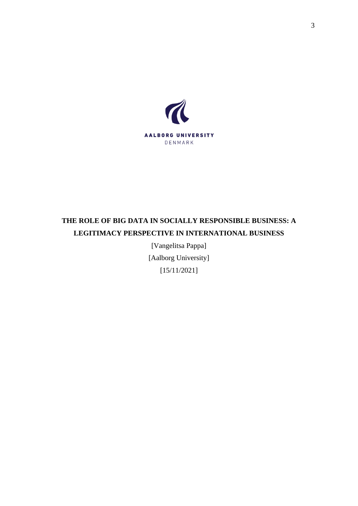

# **THE ROLE OF BIG DATA IN SOCIALLY RESPONSIBLE BUSINESS: A LEGITIMACY PERSPECTIVE IN INTERNATIONAL BUSINESS**

[Vangelitsa Pappa] [Aalborg University] [15/11/2021]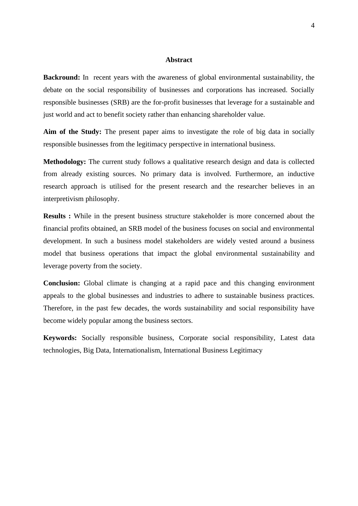#### **Abstract**

**Backround:** In recent years with the awareness of global environmental sustainability, the debate on the social responsibility of businesses and corporations has increased. Socially responsible businesses (SRB) are the for-profit businesses that leverage for a sustainable and just world and act to benefit society rather than enhancing shareholder value.

**Aim of the Study:** The present paper aims to investigate the role of big data in socially responsible businesses from the legitimacy perspective in international business.

**Methodology:** The current study follows a qualitative research design and data is collected from already existing sources. No primary data is involved. Furthermore, an inductive research approach is utilised for the present research and the researcher believes in an interpretivism philosophy.

**Results :** While in the present business structure stakeholder is more concerned about the financial profits obtained, an SRB model of the business focuses on social and environmental development. In such a business model stakeholders are widely vested around a business model that business operations that impact the global environmental sustainability and leverage poverty from the society.

**Conclusion:** Global climate is changing at a rapid pace and this changing environment appeals to the global businesses and industries to adhere to sustainable business practices. Therefore, in the past few decades, the words sustainability and social responsibility have become widely popular among the business sectors.

**Keywords:** Socially responsible business, Corporate social responsibility, Latest data technologies, Big Data, Internationalism, International Business Legitimacy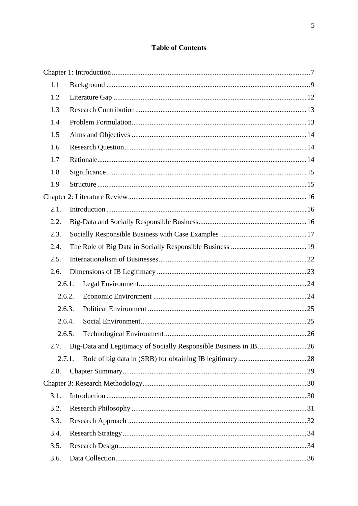## **Table of Contents**

| 1.1    |  |
|--------|--|
| 1.2    |  |
| 1.3    |  |
| 1.4    |  |
| 1.5    |  |
| 1.6    |  |
| 1.7    |  |
| 1.8    |  |
| 1.9    |  |
|        |  |
| 2.1.   |  |
| 2.2.   |  |
| 2.3.   |  |
| 2.4.   |  |
| 2.5.   |  |
| 2.6.   |  |
| 2.6.1. |  |
| 2.6.2. |  |
| 2.6.3. |  |
| 2.6.4. |  |
| 2.6.5. |  |
| 2.7.   |  |
| 2.7.1. |  |
| 2.8.   |  |
|        |  |
| 3.1.   |  |
| 3.2.   |  |
| 3.3.   |  |
| 3.4.   |  |
| 3.5.   |  |
| 3.6.   |  |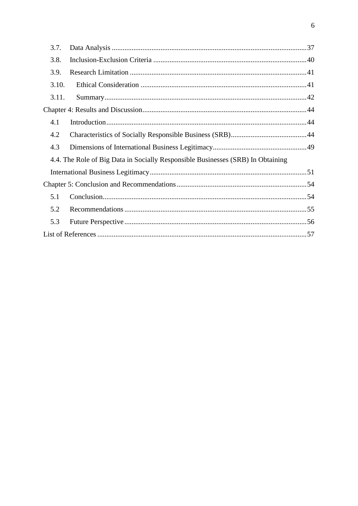| 3.7.  |                                                                                 |  |
|-------|---------------------------------------------------------------------------------|--|
| 3.8.  |                                                                                 |  |
| 3.9.  |                                                                                 |  |
| 3.10. |                                                                                 |  |
| 3.11. |                                                                                 |  |
|       |                                                                                 |  |
| 4.1   |                                                                                 |  |
| 4.2   |                                                                                 |  |
| 4.3   |                                                                                 |  |
|       | 4.4. The Role of Big Data in Socially Responsible Businesses (SRB) In Obtaining |  |
|       |                                                                                 |  |
|       |                                                                                 |  |
| 5.1   |                                                                                 |  |
| 5.2   |                                                                                 |  |
| 5.3   |                                                                                 |  |
|       |                                                                                 |  |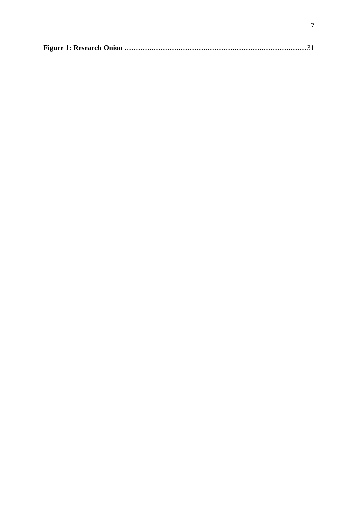<span id="page-6-0"></span>

|--|--|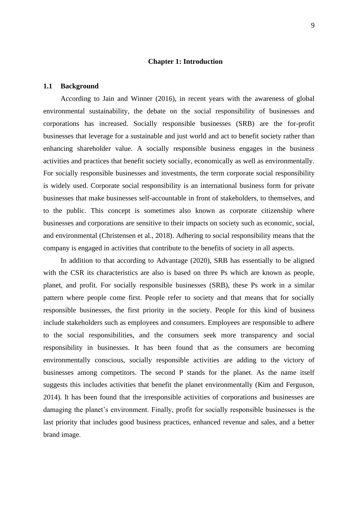#### **Chapter 1: Introduction**

#### <span id="page-8-0"></span>**1.1 Background**

According to Jain and Winner (2016), in recent years with the awareness of global environmental sustainability, the debate on the social responsibility of businesses and corporations has increased. Socially responsible businesses (SRB) are the for-profit businesses that leverage for a sustainable and just world and act to benefit society rather than enhancing shareholder value. A socially responsible business engages in the business activities and practices that benefit society socially, economically as well as environmentally. For socially responsible businesses and investments, the term corporate social responsibility is widely used. Corporate social responsibility is an international business form for private businesses that make businesses self-accountable in front of stakeholders, to themselves, and to the public. This concept is sometimes also known as corporate citizenship where businesses and corporations are sensitive to their impacts on society such as economic, social, and environmental (Christensen et al., 2018). Adhering to social responsibility means that the company is engaged in activities that contribute to the benefits of society in all aspects.

In addition to that according to Advantage (2020), SRB has essentially to be aligned with the CSR its characteristics are also is based on three Ps which are known as people, planet, and profit. For socially responsible businesses (SRB), these Ps work in a similar pattern where people come first. People refer to society and that means that for socially responsible businesses, the first priority in the society. People for this kind of business include stakeholders such as employees and consumers. Employees are responsible to adhere to the social responsibilities, and the consumers seek more transparency and social responsibility in businesses. It has been found that as the consumers are becoming environmentally conscious, socially responsible activities are adding to the victory of businesses among competitors. The second P stands for the planet. As the name itself suggests this includes activities that benefit the planet environmentally (Kim and Ferguson, 2014). It has been found that the irresponsible activities of corporations and businesses are damaging the planet's environment. Finally, profit for socially responsible businesses is the last priority that includes good business practices, enhanced revenue and sales, and a better brand image.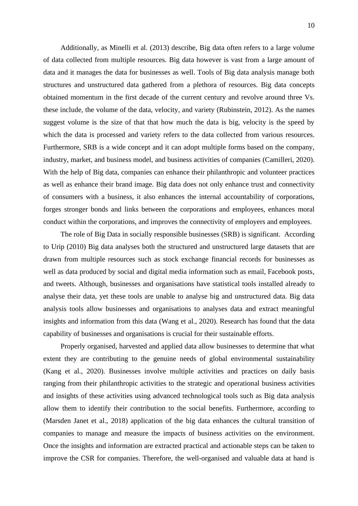Additionally, as Minelli et al. (2013) describe, Big data often refers to a large volume of data collected from multiple resources. Big data however is vast from a large amount of data and it manages the data for businesses as well. Tools of Big data analysis manage both structures and unstructured data gathered from a plethora of resources. Big data concepts obtained momentum in the first decade of the current century and revolve around three Vs. these include, the volume of the data, velocity, and variety (Rubinstein, 2012). As the names suggest volume is the size of that that how much the data is big, velocity is the speed by which the data is processed and variety refers to the data collected from various resources. Furthermore, SRB is a wide concept and it can adopt multiple forms based on the company, industry, market, and business model, and business activities of companies (Camilleri, 2020). With the help of Big data, companies can enhance their philanthropic and volunteer practices as well as enhance their brand image. Big data does not only enhance trust and connectivity of consumers with a business, it also enhances the internal accountability of corporations, forges stronger bonds and links between the corporations and employees, enhances moral conduct within the corporations, and improves the connectivity of employers and employees.

The role of Big Data in socially responsible businesses (SRB) is significant. According to Urip (2010) Big data analyses both the structured and unstructured large datasets that are drawn from multiple resources such as stock exchange financial records for businesses as well as data produced by social and digital media information such as email, Facebook posts, and tweets. Although, businesses and organisations have statistical tools installed already to analyse their data, yet these tools are unable to analyse big and unstructured data. Big data analysis tools allow businesses and organisations to analyses data and extract meaningful insights and information from this data (Wang et al., 2020). Research has found that the data capability of businesses and organisations is crucial for their sustainable efforts.

Properly organised, harvested and applied data allow businesses to determine that what extent they are contributing to the genuine needs of global environmental sustainability (Kang et al., 2020). Businesses involve multiple activities and practices on daily basis ranging from their philanthropic activities to the strategic and operational business activities and insights of these activities using advanced technological tools such as Big data analysis allow them to identify their contribution to the social benefits. Furthermore, according to (Marsden Janet et al., 2018) application of the big data enhances the cultural transition of companies to manage and measure the impacts of business activities on the environment. Once the insights and information are extracted practical and actionable steps can be taken to improve the CSR for companies. Therefore, the well-organised and valuable data at hand is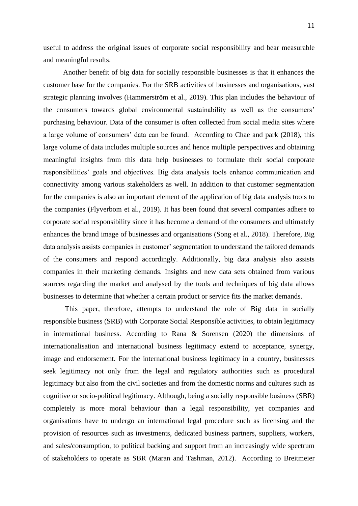useful to address the original issues of corporate social responsibility and bear measurable and meaningful results.

 Another benefit of big data for socially responsible businesses is that it enhances the customer base for the companies. For the SRB activities of businesses and organisations, vast strategic planning involves (Hammerström et al., 2019). This plan includes the behaviour of the consumers towards global environmental sustainability as well as the consumers' purchasing behaviour. Data of the consumer is often collected from social media sites where a large volume of consumers' data can be found. According to Chae and park (2018), this large volume of data includes multiple sources and hence multiple perspectives and obtaining meaningful insights from this data help businesses to formulate their social corporate responsibilities' goals and objectives. Big data analysis tools enhance communication and connectivity among various stakeholders as well. In addition to that customer segmentation for the companies is also an important element of the application of big data analysis tools to the companies (Flyverbom et al., 2019). It has been found that several companies adhere to corporate social responsibility since it has become a demand of the consumers and ultimately enhances the brand image of businesses and organisations (Song et al., 2018). Therefore, Big data analysis assists companies in customer' segmentation to understand the tailored demands of the consumers and respond accordingly. Additionally, big data analysis also assists companies in their marketing demands. Insights and new data sets obtained from various sources regarding the market and analysed by the tools and techniques of big data allows businesses to determine that whether a certain product or service fits the market demands.

This paper, therefore, attempts to understand the role of Big data in socially responsible business (SRB) with Corporate Social Responsible activities, to obtain legitimacy in international business. According to Rana & Sorensen (2020) the dimensions of internationalisation and international business legitimacy extend to acceptance, synergy, image and endorsement. For the international business legitimacy in a country, businesses seek legitimacy not only from the legal and regulatory authorities such as procedural legitimacy but also from the civil societies and from the domestic norms and cultures such as cognitive or socio-political legitimacy. Although, being a socially responsible business (SBR) completely is more moral behaviour than a legal responsibility, yet companies and organisations have to undergo an international legal procedure such as licensing and the provision of resources such as investments, dedicated business partners, suppliers, workers, and sales/consumption, to political backing and support from an increasingly wide spectrum of stakeholders to operate as SBR (Maran and Tashman, 2012). According to Breitmeier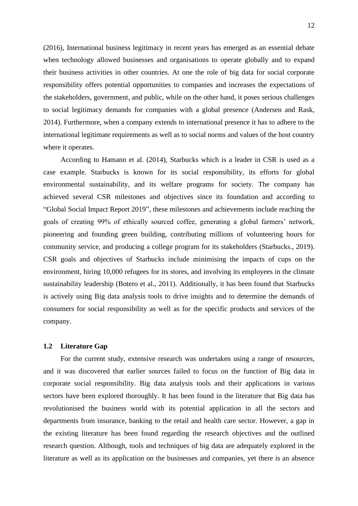(2016), International business legitimacy in recent years has emerged as an essential debate when technology allowed businesses and organisations to operate globally and to expand their business activities in other countries. At one the role of big data for social corporate responsibility offers potential opportunities to companies and increases the expectations of the stakeholders, government, and public, while on the other hand, it poses serious challenges to social legitimacy demands for companies with a global presence (Andersen and Rask, 2014). Furthermore, when a company extends to international presence it has to adhere to the international legitimate requirements as well as to social norms and values of the host country where it operates.

According to Hamann et al. (2014), Starbucks which is a leader in CSR is used as a case example. Starbucks is known for its social responsibility, its efforts for global environmental sustainability, and its welfare programs for society. The company has achieved several CSR milestones and objectives since its foundation and according to "Global Social Impact Report 2019", these milestones and achievements include reaching the goals of creating 99% of ethically sourced coffee, generating a global farmers' network, pioneering and founding green building, contributing millions of volunteering hours for community service, and producing a college program for its stakeholders (Starbucks., 2019). CSR goals and objectives of Starbucks include minimising the impacts of cups on the environment, hiring 10,000 refugees for its stores, and involving its employees in the climate sustainability leadership (Botero et al., 2011). Additionally, it has been found that Starbucks is actively using Big data analysis tools to drive insights and to determine the demands of consumers for social responsibility as well as for the specific products and services of the company.

### <span id="page-11-0"></span>**1.2 Literature Gap**

For the current study, extensive research was undertaken using a range of resources, and it was discovered that earlier sources failed to focus on the function of Big data in corporate social responsibility. Big data analysis tools and their applications in various sectors have been explored thoroughly. It has been found in the literature that Big data has revolutionised the business world with its potential application in all the sectors and departments from insurance, banking to the retail and health care sector. However, a gap in the existing literature has been found regarding the research objectives and the outlined research question. Although, tools and techniques of big data are adequately explored in the literature as well as its application on the businesses and companies, yet there is an absence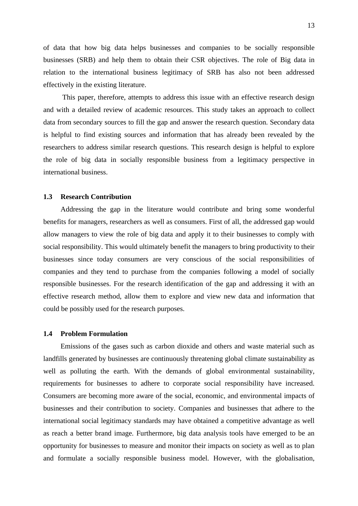of data that how big data helps businesses and companies to be socially responsible businesses (SRB) and help them to obtain their CSR objectives. The role of Big data in relation to the international business legitimacy of SRB has also not been addressed effectively in the existing literature.

This paper, therefore, attempts to address this issue with an effective research design and with a detailed review of academic resources. This study takes an approach to collect data from secondary sources to fill the gap and answer the research question. Secondary data is helpful to find existing sources and information that has already been revealed by the researchers to address similar research questions. This research design is helpful to explore the role of big data in socially responsible business from a legitimacy perspective in international business.

#### <span id="page-12-0"></span>**1.3 Research Contribution**

Addressing the gap in the literature would contribute and bring some wonderful benefits for managers, researchers as well as consumers. First of all, the addressed gap would allow managers to view the role of big data and apply it to their businesses to comply with social responsibility. This would ultimately benefit the managers to bring productivity to their businesses since today consumers are very conscious of the social responsibilities of companies and they tend to purchase from the companies following a model of socially responsible businesses. For the research identification of the gap and addressing it with an effective research method, allow them to explore and view new data and information that could be possibly used for the research purposes.

#### <span id="page-12-1"></span>**1.4 Problem Formulation**

Emissions of the gases such as carbon dioxide and others and waste material such as landfills generated by businesses are continuously threatening global climate sustainability as well as polluting the earth. With the demands of global environmental sustainability, requirements for businesses to adhere to corporate social responsibility have increased. Consumers are becoming more aware of the social, economic, and environmental impacts of businesses and their contribution to society. Companies and businesses that adhere to the international social legitimacy standards may have obtained a competitive advantage as well as reach a better brand image. Furthermore, big data analysis tools have emerged to be an opportunity for businesses to measure and monitor their impacts on society as well as to plan and formulate a socially responsible business model. However, with the globalisation,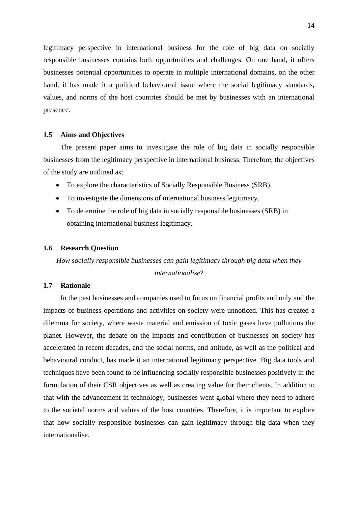legitimacy perspective in international business for the role of big data on socially responsible businesses contains both opportunities and challenges. On one hand, it offers businesses potential opportunities to operate in multiple international domains, on the other hand, it has made it a political behavioural issue where the social legitimacy standards, values, and norms of the host countries should be met by businesses with an international presence.

#### <span id="page-13-0"></span>**1.5 Aims and Objectives**

The present paper aims to investigate the role of big data in socially responsible businesses from the legitimacy perspective in international business. Therefore, the objectives of the study are outlined as;

- To explore the characteristics of Socially Responsible Business (SRB).
- To investigate the dimensions of international business legitimacy.
- To determine the role of big data in socially responsible businesses (SRB) in obtaining international business legitimacy.

#### <span id="page-13-1"></span>**1.6 Research Question**

*How socially responsible businesses can gain legitimacy through big data when they internationalise*?

### <span id="page-13-2"></span>**1.7 Rationale**

In the past businesses and companies used to focus on financial profits and only and the impacts of business operations and activities on society were unnoticed. This has created a dilemma for society, where waste material and emission of toxic gases have pollutions the planet. However, the debate on the impacts and contribution of businesses on society has accelerated in recent decades, and the social norms, and attitude, as well as the political and behavioural conduct, has made it an international legitimacy perspective. Big data tools and techniques have been found to be influencing socially responsible businesses positively in the formulation of their CSR objectives as well as creating value for their clients. In addition to that with the advancement in technology, businesses went global where they need to adhere to the societal norms and values of the host countries. Therefore, it is important to explore that how socially responsible businesses can gain legitimacy through big data when they internationalise.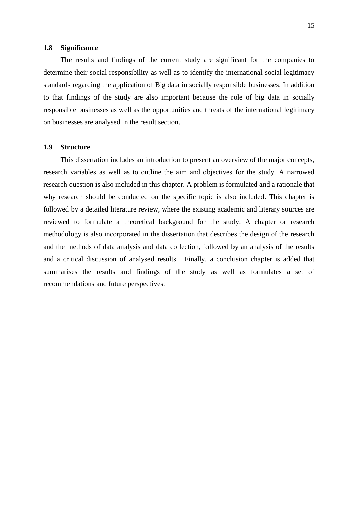#### <span id="page-14-0"></span>**1.8 Significance**

The results and findings of the current study are significant for the companies to determine their social responsibility as well as to identify the international social legitimacy standards regarding the application of Big data in socially responsible businesses. In addition to that findings of the study are also important because the role of big data in socially responsible businesses as well as the opportunities and threats of the international legitimacy on businesses are analysed in the result section.

#### <span id="page-14-1"></span>**1.9 Structure**

This dissertation includes an introduction to present an overview of the major concepts, research variables as well as to outline the aim and objectives for the study. A narrowed research question is also included in this chapter. A problem is formulated and a rationale that why research should be conducted on the specific topic is also included. This chapter is followed by a detailed literature review, where the existing academic and literary sources are reviewed to formulate a theoretical background for the study. A chapter or research methodology is also incorporated in the dissertation that describes the design of the research and the methods of data analysis and data collection, followed by an analysis of the results and a critical discussion of analysed results. Finally, a conclusion chapter is added that summarises the results and findings of the study as well as formulates a set of recommendations and future perspectives.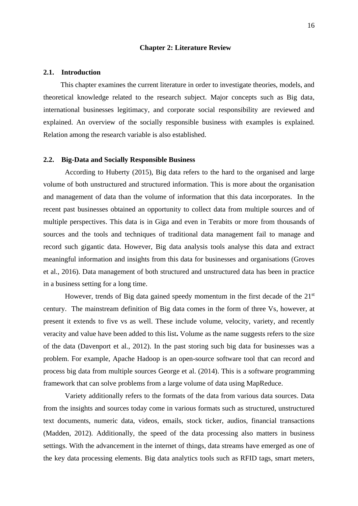#### **Chapter 2: Literature Review**

#### <span id="page-15-1"></span><span id="page-15-0"></span>**2.1. Introduction**

This chapter examines the current literature in order to investigate theories, models, and theoretical knowledge related to the research subject. Major concepts such as Big data, international businesses legitimacy, and corporate social responsibility are reviewed and explained. An overview of the socially responsible business with examples is explained. Relation among the research variable is also established.

#### <span id="page-15-2"></span>**2.2. Big-Data and Socially Responsible Business**

According to Huberty (2015), Big data refers to the hard to the organised and large volume of both unstructured and structured information. This is more about the organisation and management of data than the volume of information that this data incorporates. In the recent past businesses obtained an opportunity to collect data from multiple sources and of multiple perspectives. This data is in Giga and even in Terabits or more from thousands of sources and the tools and techniques of traditional data management fail to manage and record such gigantic data. However, Big data analysis tools analyse this data and extract meaningful information and insights from this data for businesses and organisations (Groves et al., 2016). Data management of both structured and unstructured data has been in practice in a business setting for a long time.

However, trends of Big data gained speedy momentum in the first decade of the 21<sup>st</sup> century. The mainstream definition of Big data comes in the form of three Vs, however, at present it extends to five vs as well. These include volume, velocity, variety, and recently veracity and value have been added to this list**.** Volume as the name suggests refers to the size of the data (Davenport et al., 2012). In the past storing such big data for businesses was a problem. For example, Apache Hadoop is an open-source software tool that can record and process big data from multiple sources George et al. (2014). This is a software programming framework that can solve problems from a large volume of data using MapReduce.

Variety additionally refers to the formats of the data from various data sources. Data from the insights and sources today come in various formats such as structured, unstructured text documents, numeric data, videos, emails, stock ticker, audios, financial transactions (Madden, 2012). Additionally, the speed of the data processing also matters in business settings. With the advancement in the internet of things, data streams have emerged as one of the key data processing elements. Big data analytics tools such as RFID tags, smart meters,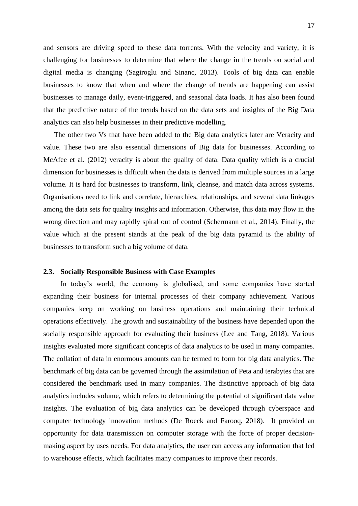and sensors are driving speed to these data torrents. With the velocity and variety, it is challenging for businesses to determine that where the change in the trends on social and digital media is changing (Sagiroglu and Sinanc, 2013). Tools of big data can enable businesses to know that when and where the change of trends are happening can assist businesses to manage daily, event-triggered, and seasonal data loads. It has also been found that the predictive nature of the trends based on the data sets and insights of the Big Data analytics can also help businesses in their predictive modelling.

The other two Vs that have been added to the Big data analytics later are Veracity and value. These two are also essential dimensions of Big data for businesses. According to McAfee et al. (2012) veracity is about the quality of data. Data quality which is a crucial dimension for businesses is difficult when the data is derived from multiple sources in a large volume. It is hard for businesses to transform, link, cleanse, and match data across systems. Organisations need to link and correlate, hierarchies, relationships, and several data linkages among the data sets for quality insights and information. Otherwise, this data may flow in the wrong direction and may rapidly spiral out of control (Schermann et al., 2014). Finally, the value which at the present stands at the peak of the big data pyramid is the ability of businesses to transform such a big volume of data.

#### <span id="page-16-0"></span>**2.3. Socially Responsible Business with Case Examples**

In today's world, the economy is globalised, and some companies have started expanding their business for internal processes of their company achievement. Various companies keep on working on business operations and maintaining their technical operations effectively. The growth and sustainability of the business have depended upon the socially responsible approach for evaluating their business (Lee and Tang, 2018). Various insights evaluated more significant concepts of data analytics to be used in many companies. The collation of data in enormous amounts can be termed to form for big data analytics. The benchmark of big data can be governed through the assimilation of Peta and terabytes that are considered the benchmark used in many companies. The distinctive approach of big data analytics includes volume, which refers to determining the potential of significant data value insights. The evaluation of big data analytics can be developed through cyberspace and computer technology innovation methods (De Roeck and Farooq, 2018). It provided an opportunity for data transmission on computer storage with the force of proper decisionmaking aspect by uses needs. For data analytics, the user can access any information that led to warehouse effects, which facilitates many companies to improve their records.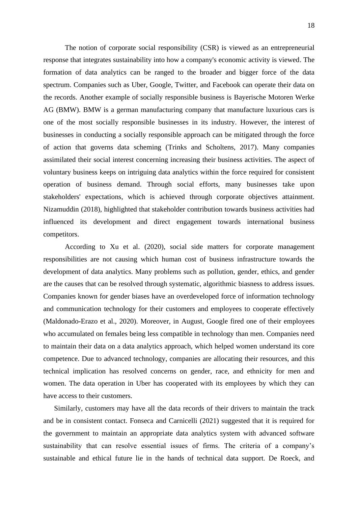The notion of corporate social responsibility (CSR) is viewed as an entrepreneurial response that integrates sustainability into how a company's economic activity is viewed. The formation of data analytics can be ranged to the broader and bigger force of the data spectrum. Companies such as Uber, Google, Twitter, and Facebook can operate their data on the records. Another example of socially responsible business is Bayerische Motoren Werke AG (BMW). BMW is a german manufacturing company that manufacture luxurious cars is one of the most socially responsible businesses in its industry. However, the interest of businesses in conducting a socially responsible approach can be mitigated through the force of action that governs data scheming (Trinks and Scholtens, 2017). Many companies assimilated their social interest concerning increasing their business activities. The aspect of voluntary business keeps on intriguing data analytics within the force required for consistent operation of business demand. Through social efforts, many businesses take upon stakeholders' expectations, which is achieved through corporate objectives attainment. Nizamuddin (2018), highlighted that stakeholder contribution towards business activities had influenced its development and direct engagement towards international business competitors.

According to Xu et al. (2020), social side matters for corporate management responsibilities are not causing which human cost of business infrastructure towards the development of data analytics. Many problems such as pollution, gender, ethics, and gender are the causes that can be resolved through systematic, algorithmic biasness to address issues. Companies known for gender biases have an overdeveloped force of information technology and communication technology for their customers and employees to cooperate effectively (Maldonado-Erazo et al., 2020). Moreover, in August, Google fired one of their employees who accumulated on females being less compatible in technology than men. Companies need to maintain their data on a data analytics approach, which helped women understand its core competence. Due to advanced technology, companies are allocating their resources, and this technical implication has resolved concerns on gender, race, and ethnicity for men and women. The data operation in Uber has cooperated with its employees by which they can have access to their customers.

Similarly, customers may have all the data records of their drivers to maintain the track and be in consistent contact. Fonseca and Carnicelli (2021) suggested that it is required for the government to maintain an appropriate data analytics system with advanced software sustainability that can resolve essential issues of firms. The criteria of a company's sustainable and ethical future lie in the hands of technical data support. De Roeck, and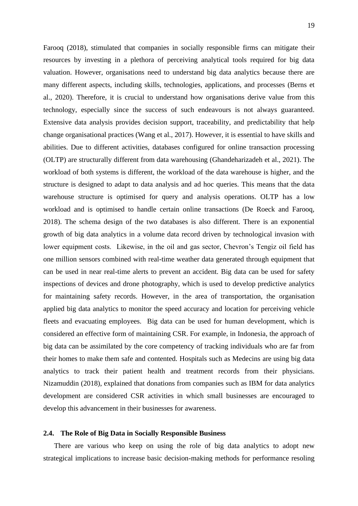Farooq (2018), stimulated that companies in socially responsible firms can mitigate their resources by investing in a plethora of perceiving analytical tools required for big data valuation. However, organisations need to understand big data analytics because there are many different aspects, including skills, technologies, applications, and processes (Berns et al., 2020). Therefore, it is crucial to understand how organisations derive value from this technology, especially since the success of such endeavours is not always guaranteed. Extensive data analysis provides decision support, traceability, and predictability that help change organisational practices (Wang et al., 2017). However, it is essential to have skills and abilities. Due to different activities, databases configured for online transaction processing (OLTP) are structurally different from data warehousing (Ghandeharizadeh et al., 2021). The workload of both systems is different, the workload of the data warehouse is higher, and the structure is designed to adapt to data analysis and ad hoc queries. This means that the data warehouse structure is optimised for query and analysis operations. OLTP has a low workload and is optimised to handle certain online transactions (De Roeck and Farooq, 2018). The schema design of the two databases is also different. There is an exponential growth of big data analytics in a volume data record driven by technological invasion with lower equipment costs. Likewise, in the oil and gas sector, Chevron's Tengiz oil field has one million sensors combined with real-time weather data generated through equipment that can be used in near real-time alerts to prevent an accident. Big data can be used for safety inspections of devices and drone photography, which is used to develop predictive analytics for maintaining safety records. However, in the area of transportation, the organisation applied big data analytics to monitor the speed accuracy and location for perceiving vehicle fleets and evacuating employees. Big data can be used for human development, which is considered an effective form of maintaining CSR. For example, in Indonesia, the approach of big data can be assimilated by the core competency of tracking individuals who are far from their homes to make them safe and contented. Hospitals such as Medecins are using big data analytics to track their patient health and treatment records from their physicians. Nizamuddin (2018), explained that donations from companies such as IBM for data analytics development are considered CSR activities in which small businesses are encouraged to develop this advancement in their businesses for awareness.

#### <span id="page-18-0"></span>**2.4. The Role of Big Data in Socially Responsible Business**

There are various who keep on using the role of big data analytics to adopt new strategical implications to increase basic decision-making methods for performance resoling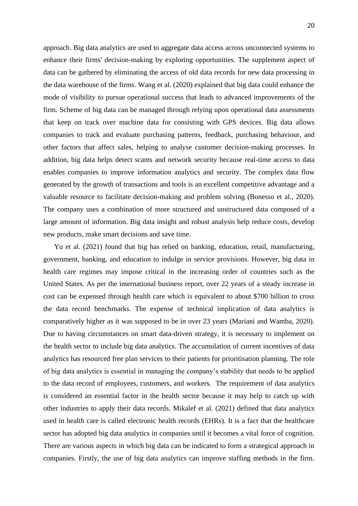approach. Big data analytics are used to aggregate data access across unconnected systems to enhance their firms' decision-making by exploring opportunities. The supplement aspect of data can be gathered by eliminating the access of old data records for new data processing in the data warehouse of the firms. Wang et al. (2020) explained that big data could enhance the mode of visibility to pursue operational success that leads to advanced improvements of the firm. Scheme of big data can be managed through relying upon operational data assessments that keep on track over machine data for consisting with GPS devices. Big data allows companies to track and evaluate purchasing patterns, feedback, purchasing behaviour, and other factors that affect sales, helping to analyse customer decision-making processes. In addition, big data helps detect scams and network security because real-time access to data enables companies to improve information analytics and security. The complex data flow generated by the growth of transactions and tools is an excellent competitive advantage and a valuable resource to facilitate decision-making and problem solving (Bonesso et al., 2020). The company uses a combination of more structured and unstructured data composed of a large amount of information. Big data insight and robust analysis help reduce costs, develop new products, make smart decisions and save time.

Yu et al. (2021) found that big has relied on banking, education, retail, manufacturing, government, banking, and education to indulge in service provisions. However, big data in health care regimes may impose critical in the increasing order of countries such as the United States. As per the international business report, over 22 years of a steady increase in cost can be expensed through health care which is equivalent to about \$700 billion to cross the data record benchmarks. The expense of technical implication of data analytics is comparatively higher as it was supposed to be in over 23 years (Mariani and Wamba, 2020). Due to having circumstances on smart data-driven strategy, it is necessary to implement on the health sector to include big data analytics. The accumulation of current incentives of data analytics has resourced free plan services to their patients for prioritisation planning. The role of big data analytics is essential in managing the company's stability that needs to be applied to the data record of employees, customers, and workers. The requirement of data analytics is considered an essential factor in the health sector because it may help to catch up with other industries to apply their data records. Mikalef et al. (2021) defined that data analytics used in health care is called electronic health records (EHRs). It is a fact that the healthcare sector has adopted big data analytics in companies until it becomes a vital force of cognition. There are various aspects in which big data can be indicated to form a strategical approach in companies. Firstly, the use of big data analytics can improve staffing methods in the firm.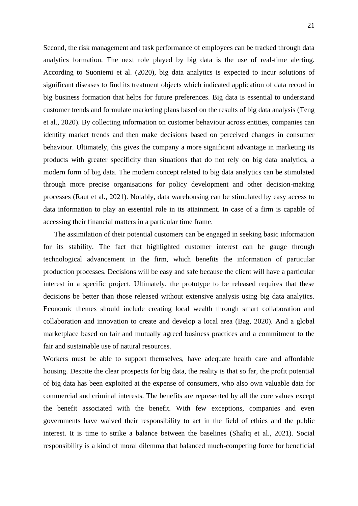Second, the risk management and task performance of employees can be tracked through data analytics formation. The next role played by big data is the use of real-time alerting. According to Suoniemi et al. (2020), big data analytics is expected to incur solutions of significant diseases to find its treatment objects which indicated application of data record in big business formation that helps for future preferences. Big data is essential to understand customer trends and formulate marketing plans based on the results of big data analysis (Teng et al., 2020). By collecting information on customer behaviour across entities, companies can identify market trends and then make decisions based on perceived changes in consumer behaviour. Ultimately, this gives the company a more significant advantage in marketing its products with greater specificity than situations that do not rely on big data analytics, a modern form of big data. The modern concept related to big data analytics can be stimulated through more precise organisations for policy development and other decision-making processes (Raut et al., 2021). Notably, data warehousing can be stimulated by easy access to data information to play an essential role in its attainment. In case of a firm is capable of accessing their financial matters in a particular time frame.

The assimilation of their potential customers can be engaged in seeking basic information for its stability. The fact that highlighted customer interest can be gauge through technological advancement in the firm, which benefits the information of particular production processes. Decisions will be easy and safe because the client will have a particular interest in a specific project. Ultimately, the prototype to be released requires that these decisions be better than those released without extensive analysis using big data analytics. Economic themes should include creating local wealth through smart collaboration and collaboration and innovation to create and develop a local area (Bag, 2020). And a global marketplace based on fair and mutually agreed business practices and a commitment to the fair and sustainable use of natural resources.

Workers must be able to support themselves, have adequate health care and affordable housing. Despite the clear prospects for big data, the reality is that so far, the profit potential of big data has been exploited at the expense of consumers, who also own valuable data for commercial and criminal interests. The benefits are represented by all the core values except the benefit associated with the benefit. With few exceptions, companies and even governments have waived their responsibility to act in the field of ethics and the public interest. It is time to strike a balance between the baselines (Shafiq et al., 2021). Social responsibility is a kind of moral dilemma that balanced much-competing force for beneficial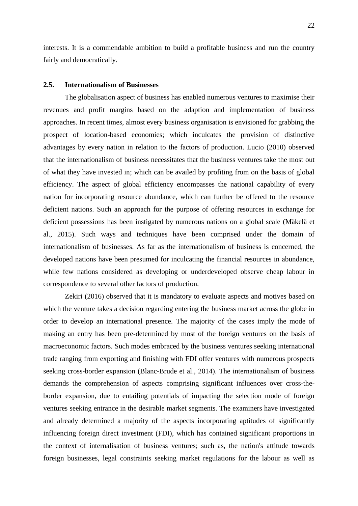interests. It is a commendable ambition to build a profitable business and run the country fairly and democratically.

#### <span id="page-21-0"></span>**2.5. Internationalism of Businesses**

The globalisation aspect of business has enabled numerous ventures to maximise their revenues and profit margins based on the adaption and implementation of business approaches. In recent times, almost every business organisation is envisioned for grabbing the prospect of location-based economies; which inculcates the provision of distinctive advantages by every nation in relation to the factors of production. Lucio (2010) observed that the internationalism of business necessitates that the business ventures take the most out of what they have invested in; which can be availed by profiting from on the basis of global efficiency. The aspect of global efficiency encompasses the national capability of every nation for incorporating resource abundance, which can further be offered to the resource deficient nations. Such an approach for the purpose of offering resources in exchange for deficient possessions has been instigated by numerous nations on a global scale (Mäkelä et al., 2015). Such ways and techniques have been comprised under the domain of internationalism of businesses. As far as the internationalism of business is concerned, the developed nations have been presumed for inculcating the financial resources in abundance, while few nations considered as developing or underdeveloped observe cheap labour in correspondence to several other factors of production.

Zekiri (2016) observed that it is mandatory to evaluate aspects and motives based on which the venture takes a decision regarding entering the business market across the globe in order to develop an international presence. The majority of the cases imply the mode of making an entry has been pre-determined by most of the foreign ventures on the basis of macroeconomic factors. Such modes embraced by the business ventures seeking international trade ranging from exporting and finishing with FDI offer ventures with numerous prospects seeking cross-border expansion (Blanc-Brude et al., 2014). The internationalism of business demands the comprehension of aspects comprising significant influences over cross-theborder expansion, due to entailing potentials of impacting the selection mode of foreign ventures seeking entrance in the desirable market segments. The examiners have investigated and already determined a majority of the aspects incorporating aptitudes of significantly influencing foreign direct investment (FDI), which has contained significant proportions in the context of internalisation of business ventures; such as, the nation's attitude towards foreign businesses, legal constraints seeking market regulations for the labour as well as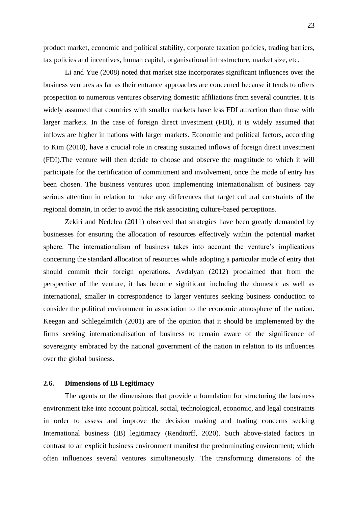product market, economic and political stability, corporate taxation policies, trading barriers, tax policies and incentives, human capital, organisational infrastructure, market size, etc.

Li and Yue (2008) noted that market size incorporates significant influences over the business ventures as far as their entrance approaches are concerned because it tends to offers prospection to numerous ventures observing domestic affiliations from several countries. It is widely assumed that countries with smaller markets have less FDI attraction than those with larger markets. In the case of foreign direct investment (FDI), it is widely assumed that inflows are higher in nations with larger markets. Economic and political factors, according to Kim (2010), have a crucial role in creating sustained inflows of foreign direct investment (FDI).The venture will then decide to choose and observe the magnitude to which it will participate for the certification of commitment and involvement, once the mode of entry has been chosen. The business ventures upon implementing internationalism of business pay serious attention in relation to make any differences that target cultural constraints of the regional domain, in order to avoid the risk associating culture-based perceptions.

Zekiri and Nedelea (2011) observed that strategies have been greatly demanded by businesses for ensuring the allocation of resources effectively within the potential market sphere. The internationalism of business takes into account the venture's implications concerning the standard allocation of resources while adopting a particular mode of entry that should commit their foreign operations. Avdalyan (2012) proclaimed that from the perspective of the venture, it has become significant including the domestic as well as international, smaller in correspondence to larger ventures seeking business conduction to consider the political environment in association to the economic atmosphere of the nation. Keegan and Schlegelmilch (2001) are of the opinion that it should be implemented by the firms seeking internationalisation of business to remain aware of the significance of sovereignty embraced by the national government of the nation in relation to its influences over the global business.

#### <span id="page-22-0"></span>**2.6. Dimensions of IB Legitimacy**

The agents or the dimensions that provide a foundation for structuring the business environment take into account political, social, technological, economic, and legal constraints in order to assess and improve the decision making and trading concerns seeking International business (IB) legitimacy (Rendtorff, 2020). Such above-stated factors in contrast to an explicit business environment manifest the predominating environment; which often influences several ventures simultaneously. The transforming dimensions of the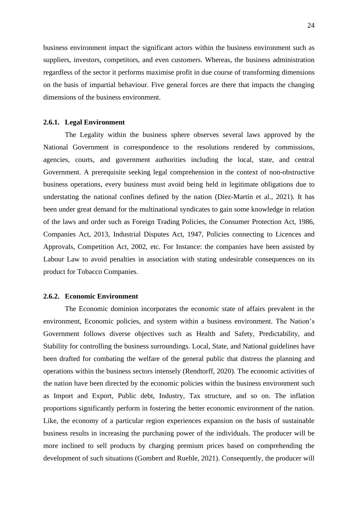business environment impact the significant actors within the business environment such as suppliers, investors, competitors, and even customers. Whereas, the business administration regardless of the sector it performs maximise profit in due course of transforming dimensions on the basis of impartial behaviour. Five general forces are there that impacts the changing dimensions of the business environment.

#### <span id="page-23-0"></span>**2.6.1. Legal Environment**

The Legality within the business sphere observes several laws approved by the National Government in correspondence to the resolutions rendered by commissions, agencies, courts, and government authorities including the local, state, and central Government. A prerequisite seeking legal comprehension in the context of non-obstructive business operations, every business must avoid being held in legitimate obligations due to understating the national confines defined by the nation (Díez-Martín et al., 2021). It has been under great demand for the multinational syndicates to gain some knowledge in relation of the laws and order such as Foreign Trading Policies, the Consumer Protection Act, 1986, Companies Act, 2013, Industrial Disputes Act, 1947, Policies connecting to Licences and Approvals, Competition Act, 2002, etc. For Instance: the companies have been assisted by Labour Law to avoid penalties in association with stating undesirable consequences on its product for Tobacco Companies.

#### <span id="page-23-1"></span>**2.6.2. Economic Environment**

The Economic dominion incorporates the economic state of affairs prevalent in the environment, Economic policies, and system within a business environment. The Nation's Government follows diverse objectives such as Health and Safety, Predictability, and Stability for controlling the business surroundings. Local, State, and National guidelines have been drafted for combating the welfare of the general public that distress the planning and operations within the business sectors intensely (Rendtorff, 2020). The economic activities of the nation have been directed by the economic policies within the business environment such as Import and Export, Public debt, Industry, Tax structure, and so on. The inflation proportions significantly perform in fostering the better economic environment of the nation. Like, the economy of a particular region experiences expansion on the basis of sustainable business results in increasing the purchasing power of the individuals. The producer will be more inclined to sell products by charging premium prices based on comprehending the development of such situations (Gombert and Ruehle, 2021). Consequently, the producer will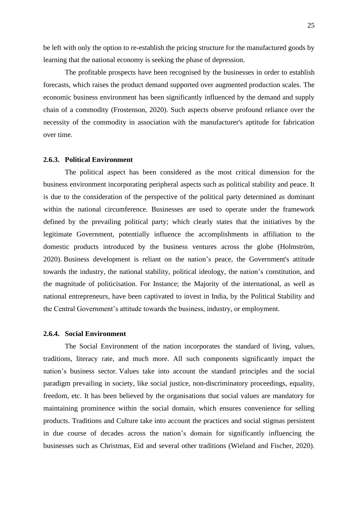be left with only the option to re-establish the pricing structure for the manufactured goods by learning that the national economy is seeking the phase of depression.

The profitable prospects have been recognised by the businesses in order to establish forecasts, which raises the product demand supported over augmented production scales. The economic business environment has been significantly influenced by the demand and supply chain of a commodity (Frostenson, 2020). Such aspects observe profound reliance over the necessity of the commodity in association with the manufacturer's aptitude for fabrication over time.

## <span id="page-24-0"></span>**2.6.3. Political Environment**

The political aspect has been considered as the most critical dimension for the business environment incorporating peripheral aspects such as political stability and peace. It is due to the consideration of the perspective of the political party determined as dominant within the national circumference. Businesses are used to operate under the framework defined by the prevailing political party; which clearly states that the initiatives by the legitimate Government, potentially influence the accomplishments in affiliation to the domestic products introduced by the business ventures across the globe (Holmström, 2020). Business development is reliant on the nation's peace, the Government's attitude towards the industry, the national stability, political ideology, the nation's constitution, and the magnitude of politicisation. For Instance; the Majority of the international, as well as national entrepreneurs, have been captivated to invest in India, by the Political Stability and the Central Government's attitude towards the business, industry, or employment.

#### <span id="page-24-1"></span>**2.6.4. Social Environment**

The Social Environment of the nation incorporates the standard of living, values, traditions, literacy rate, and much more. All such components significantly impact the nation's business sector. Values take into account the standard principles and the social paradigm prevailing in society, like social justice, non-discriminatory proceedings, equality, freedom, etc. It has been believed by the organisations that social values are mandatory for maintaining prominence within the social domain, which ensures convenience for selling products. Traditions and Culture take into account the practices and social stigmas persistent in due course of decades across the nation's domain for significantly influencing the businesses such as Christmas, Eid and several other traditions (Wieland and Fischer, 2020).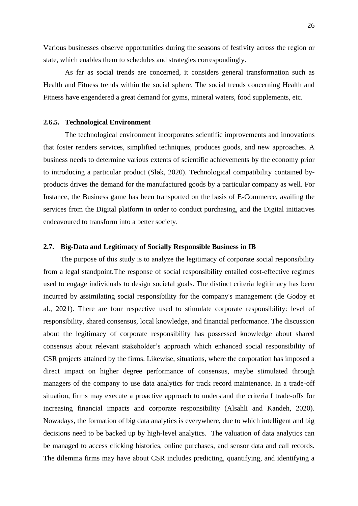Various businesses observe opportunities during the seasons of festivity across the region or state, which enables them to schedules and strategies correspondingly.

As far as social trends are concerned, it considers general transformation such as Health and Fitness trends within the social sphere. The social trends concerning Health and Fitness have engendered a great demand for gyms, mineral waters, food supplements, etc.

#### <span id="page-25-0"></span>**2.6.5. Technological Environment**

The technological environment incorporates scientific improvements and innovations that foster renders services, simplified techniques, produces goods, and new approaches. A business needs to determine various extents of scientific achievements by the economy prior to introducing a particular product (Sløk, 2020). Technological compatibility contained byproducts drives the demand for the manufactured goods by a particular company as well. For Instance, the Business game has been transported on the basis of E-Commerce, availing the services from the Digital platform in order to conduct purchasing, and the Digital initiatives endeavoured to transform into a better society.

## <span id="page-25-1"></span>**2.7. Big-Data and Legitimacy of Socially Responsible Business in IB**

The purpose of this study is to analyze the legitimacy of corporate social responsibility from a legal standpoint.The response of social responsibility entailed cost-effective regimes used to engage individuals to design societal goals. The distinct criteria legitimacy has been incurred by assimilating social responsibility for the company's management (de Godoy et al., 2021). There are four respective used to stimulate corporate responsibility: level of responsibility, shared consensus, local knowledge, and financial performance. The discussion about the legitimacy of corporate responsibility has possessed knowledge about shared consensus about relevant stakeholder's approach which enhanced social responsibility of CSR projects attained by the firms. Likewise, situations, where the corporation has imposed a direct impact on higher degree performance of consensus, maybe stimulated through managers of the company to use data analytics for track record maintenance. In a trade-off situation, firms may execute a proactive approach to understand the criteria f trade-offs for increasing financial impacts and corporate responsibility (Alsahli and Kandeh, 2020). Nowadays, the formation of big data analytics is everywhere, due to which intelligent and big decisions need to be backed up by high-level analytics. The valuation of data analytics can be managed to access clicking histories, online purchases, and sensor data and call records. The dilemma firms may have about CSR includes predicting, quantifying, and identifying a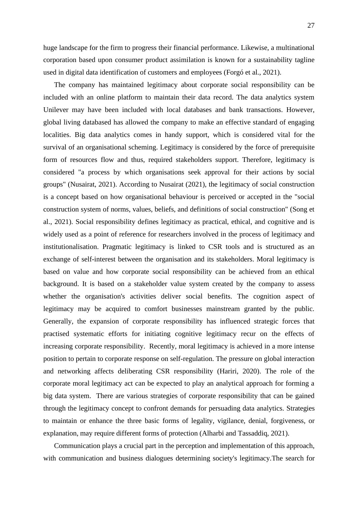huge landscape for the firm to progress their financial performance. Likewise, a multinational corporation based upon consumer product assimilation is known for a sustainability tagline used in digital data identification of customers and employees (Forgó et al., 2021).

The company has maintained legitimacy about corporate social responsibility can be included with an online platform to maintain their data record. The data analytics system Unilever may have been included with local databases and bank transactions. However, global living databased has allowed the company to make an effective standard of engaging localities. Big data analytics comes in handy support, which is considered vital for the survival of an organisational scheming. Legitimacy is considered by the force of prerequisite form of resources flow and thus, required stakeholders support. Therefore, legitimacy is considered "a process by which organisations seek approval for their actions by social groups" (Nusairat, 2021). According to Nusairat (2021), the legitimacy of social construction is a concept based on how organisational behaviour is perceived or accepted in the "social construction system of norms, values, beliefs, and definitions of social construction" (Song et al., 2021). Social responsibility defines legitimacy as practical, ethical, and cognitive and is widely used as a point of reference for researchers involved in the process of legitimacy and institutionalisation. Pragmatic legitimacy is linked to CSR tools and is structured as an exchange of self-interest between the organisation and its stakeholders. Moral legitimacy is based on value and how corporate social responsibility can be achieved from an ethical background. It is based on a stakeholder value system created by the company to assess whether the organisation's activities deliver social benefits. The cognition aspect of legitimacy may be acquired to comfort businesses mainstream granted by the public. Generally, the expansion of corporate responsibility has influenced strategic forces that practised systematic efforts for initiating cognitive legitimacy recur on the effects of increasing corporate responsibility. Recently, moral legitimacy is achieved in a more intense position to pertain to corporate response on self-regulation. The pressure on global interaction and networking affects deliberating CSR responsibility (Hariri, 2020). The role of the corporate moral legitimacy act can be expected to play an analytical approach for forming a big data system. There are various strategies of corporate responsibility that can be gained through the legitimacy concept to confront demands for persuading data analytics. Strategies to maintain or enhance the three basic forms of legality, vigilance, denial, forgiveness, or explanation, may require different forms of protection (Alharbi and Tassaddiq, 2021).

Communication plays a crucial part in the perception and implementation of this approach, with communication and business dialogues determining society's legitimacy.The search for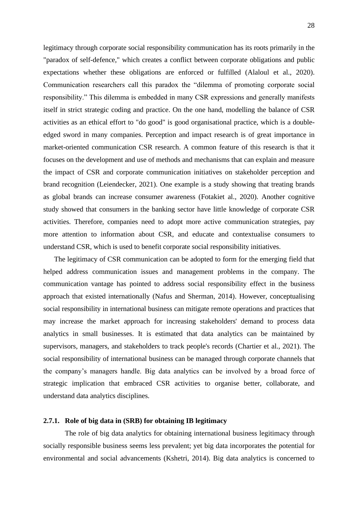legitimacy through corporate social responsibility communication has its roots primarily in the "paradox of self-defence," which creates a conflict between corporate obligations and public expectations whether these obligations are enforced or fulfilled (Alaloul et al., 2020). Communication researchers call this paradox the "dilemma of promoting corporate social responsibility." This dilemma is embedded in many CSR expressions and generally manifests itself in strict strategic coding and practice. On the one hand, modelling the balance of CSR activities as an ethical effort to "do good" is good organisational practice, which is a doubleedged sword in many companies. Perception and impact research is of great importance in market-oriented communication CSR research. A common feature of this research is that it focuses on the development and use of methods and mechanisms that can explain and measure the impact of CSR and corporate communication initiatives on stakeholder perception and brand recognition (Leiendecker, 2021). One example is a study showing that treating brands as global brands can increase consumer awareness (Fotakiet al., 2020). Another cognitive study showed that consumers in the banking sector have little knowledge of corporate CSR activities. Therefore, companies need to adopt more active communication strategies, pay more attention to information about CSR, and educate and contextualise consumers to understand CSR, which is used to benefit corporate social responsibility initiatives.

The legitimacy of CSR communication can be adopted to form for the emerging field that helped address communication issues and management problems in the company. The communication vantage has pointed to address social responsibility effect in the business approach that existed internationally (Nafus and Sherman, 2014). However, conceptualising social responsibility in international business can mitigate remote operations and practices that may increase the market approach for increasing stakeholders' demand to process data analytics in small businesses. It is estimated that data analytics can be maintained by supervisors, managers, and stakeholders to track people's records (Chartier et al., 2021). The social responsibility of international business can be managed through corporate channels that the company's managers handle. Big data analytics can be involved by a broad force of strategic implication that embraced CSR activities to organise better, collaborate, and understand data analytics disciplines.

### <span id="page-27-0"></span>**2.7.1. Role of big data in (SRB) for obtaining IB legitimacy**

The role of big data analytics for obtaining international business legitimacy through socially responsible business seems less prevalent; yet big data incorporates the potential for environmental and social advancements (Kshetri, 2014). Big data analytics is concerned to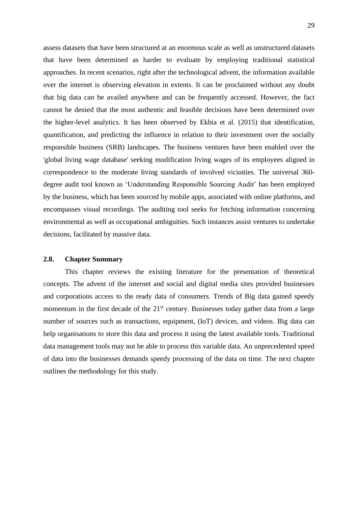assess datasets that have been structured at an enormous scale as well as unstructured datasets that have been determined as harder to evaluate by employing traditional statistical approaches. In recent scenarios, right after the technological advent, the information available over the internet is observing elevation in extents. It can be proclaimed without any doubt that big data can be availed anywhere and can be frequently accessed. However, the fact cannot be denied that the most authentic and feasible decisions have been determined over the higher-level analytics. It has been observed by Ekbia et al. (2015) that identification, quantification, and predicting the influence in relation to their investment over the socially responsible business (SRB) landscapes. The business ventures have been enabled over the 'global living wage database' seeking modification living wages of its employees aligned in correspondence to the moderate living standards of involved vicinities. The universal 360 degree audit tool known as 'Understanding Responsible Sourcing Audit' has been employed by the business, which has been sourced by mobile apps, associated with online platforms, and encompasses visual recordings. The auditing tool seeks for fetching information concerning environmental as well as occupational ambiguities. Such instances assist ventures to undertake decisions, facilitated by massive data.

#### <span id="page-28-0"></span>**2.8. Chapter Summary**

This chapter reviews the existing literature for the presentation of theoretical concepts. The advent of the internet and social and digital media sites provided businesses and corporations access to the ready data of consumers. Trends of Big data gained speedy momentum in the first decade of the  $21<sup>st</sup>$  century. Businesses today gather data from a large number of sources such as transactions, equipment, (IoT) devices, and videos. Big data can help organisations to store this data and process it using the latest available tools. Traditional data management tools may not be able to process this variable data. An unprecedented speed of data into the businesses demands speedy processing of the data on time. The next chapter outlines the methodology for this study.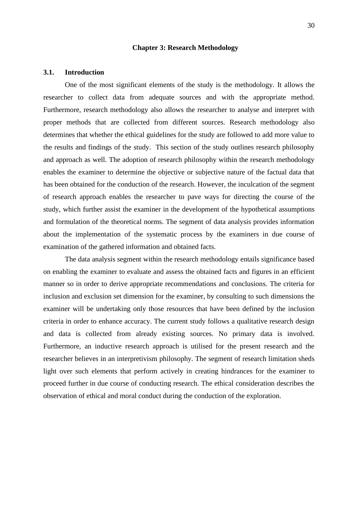#### **Chapter 3: Research Methodology**

#### <span id="page-29-1"></span><span id="page-29-0"></span>**3.1. Introduction**

One of the most significant elements of the study is the methodology. It allows the researcher to collect data from adequate sources and with the appropriate method. Furthermore, research methodology also allows the researcher to analyse and interpret with proper methods that are collected from different sources. Research methodology also determines that whether the ethical guidelines for the study are followed to add more value to the results and findings of the study. This section of the study outlines research philosophy and approach as well. The adoption of research philosophy within the research methodology enables the examiner to determine the objective or subjective nature of the factual data that has been obtained for the conduction of the research. However, the inculcation of the segment of research approach enables the researcher to pave ways for directing the course of the study, which further assist the examiner in the development of the hypothetical assumptions and formulation of the theoretical norms. The segment of data analysis provides information about the implementation of the systematic process by the examiners in due course of examination of the gathered information and obtained facts.

The data analysis segment within the research methodology entails significance based on enabling the examiner to evaluate and assess the obtained facts and figures in an efficient manner so in order to derive appropriate recommendations and conclusions. The criteria for inclusion and exclusion set dimension for the examiner, by consulting to such dimensions the examiner will be undertaking only those resources that have been defined by the inclusion criteria in order to enhance accuracy. The current study follows a qualitative research design and data is collected from already existing sources. No primary data is involved. Furthermore, an inductive research approach is utilised for the present research and the researcher believes in an interpretivism philosophy. The segment of research limitation sheds light over such elements that perform actively in creating hindrances for the examiner to proceed further in due course of conducting research. The ethical consideration describes the observation of ethical and moral conduct during the conduction of the exploration.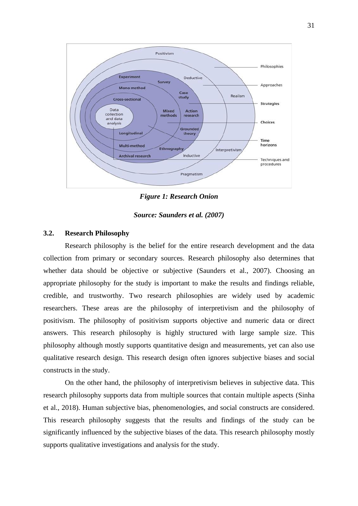

*Figure 1: Research Onion*

#### *Source: Saunders et al. (2007)*

## <span id="page-30-1"></span><span id="page-30-0"></span>**3.2. Research Philosophy**

Research philosophy is the belief for the entire research development and the data collection from primary or secondary sources. Research philosophy also determines that whether data should be objective or subjective (Saunders et al., 2007). Choosing an appropriate philosophy for the study is important to make the results and findings reliable, credible, and trustworthy. Two research philosophies are widely used by academic researchers. These areas are the philosophy of interpretivism and the philosophy of positivism. The philosophy of positivism supports objective and numeric data or direct answers. This research philosophy is highly structured with large sample size. This philosophy although mostly supports quantitative design and measurements, yet can also use qualitative research design. This research design often ignores subjective biases and social constructs in the study.

On the other hand, the philosophy of interpretivism believes in subjective data. This research philosophy supports data from multiple sources that contain multiple aspects (Sinha et al., 2018). Human subjective bias, phenomenologies, and social constructs are considered. This research philosophy suggests that the results and findings of the study can be significantly influenced by the subjective biases of the data. This research philosophy mostly supports qualitative investigations and analysis for the study.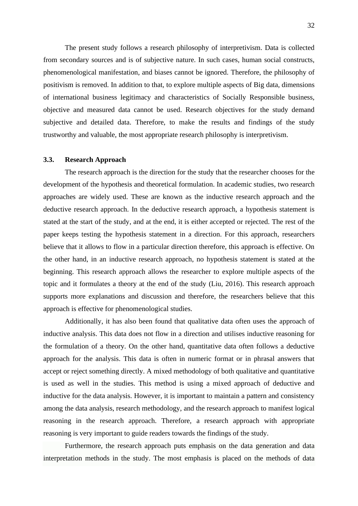The present study follows a research philosophy of interpretivism. Data is collected from secondary sources and is of subjective nature. In such cases, human social constructs, phenomenological manifestation, and biases cannot be ignored. Therefore, the philosophy of positivism is removed. In addition to that, to explore multiple aspects of Big data, dimensions of international business legitimacy and characteristics of Socially Responsible business, objective and measured data cannot be used. Research objectives for the study demand subjective and detailed data. Therefore, to make the results and findings of the study trustworthy and valuable, the most appropriate research philosophy is interpretivism.

#### <span id="page-31-0"></span>**3.3. Research Approach**

The research approach is the direction for the study that the researcher chooses for the development of the hypothesis and theoretical formulation. In academic studies, two research approaches are widely used. These are known as the inductive research approach and the deductive research approach. In the deductive research approach, a hypothesis statement is stated at the start of the study, and at the end, it is either accepted or rejected. The rest of the paper keeps testing the hypothesis statement in a direction. For this approach, researchers believe that it allows to flow in a particular direction therefore, this approach is effective. On the other hand, in an inductive research approach, no hypothesis statement is stated at the beginning. This research approach allows the researcher to explore multiple aspects of the topic and it formulates a theory at the end of the study (Liu, 2016). This research approach supports more explanations and discussion and therefore, the researchers believe that this approach is effective for phenomenological studies.

Additionally, it has also been found that qualitative data often uses the approach of inductive analysis. This data does not flow in a direction and utilises inductive reasoning for the formulation of a theory. On the other hand, quantitative data often follows a deductive approach for the analysis. This data is often in numeric format or in phrasal answers that accept or reject something directly. A mixed methodology of both qualitative and quantitative is used as well in the studies. This method is using a mixed approach of deductive and inductive for the data analysis. However, it is important to maintain a pattern and consistency among the data analysis, research methodology, and the research approach to manifest logical reasoning in the research approach. Therefore, a research approach with appropriate reasoning is very important to guide readers towards the findings of the study.

Furthermore, the research approach puts emphasis on the data generation and data interpretation methods in the study. The most emphasis is placed on the methods of data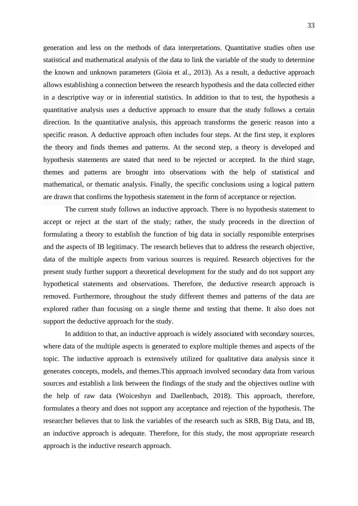generation and less on the methods of data interpretations. Quantitative studies often use statistical and mathematical analysis of the data to link the variable of the study to determine the known and unknown parameters (Gioia et al., 2013). As a result, a deductive approach allows establishing a connection between the research hypothesis and the data collected either in a descriptive way or in inferential statistics. In addition to that to test, the hypothesis a quantitative analysis uses a deductive approach to ensure that the study follows a certain direction. In the quantitative analysis, this approach transforms the generic reason into a specific reason. A deductive approach often includes four steps. At the first step, it explores the theory and finds themes and patterns. At the second step, a theory is developed and hypothesis statements are stated that need to be rejected or accepted. In the third stage, themes and patterns are brought into observations with the help of statistical and mathematical, or thematic analysis. Finally, the specific conclusions using a logical pattern are drawn that confirms the hypothesis statement in the form of acceptance or rejection.

The current study follows an inductive approach. There is no hypothesis statement to accept or reject at the start of the study; rather, the study proceeds in the direction of formulating a theory to establish the function of big data in socially responsible enterprises and the aspects of IB legitimacy. The research believes that to address the research objective, data of the multiple aspects from various sources is required. Research objectives for the present study further support a theoretical development for the study and do not support any hypothetical statements and observations. Therefore, the deductive research approach is removed. Furthermore, throughout the study different themes and patterns of the data are explored rather than focusing on a single theme and testing that theme. It also does not support the deductive approach for the study.

In addition to that, an inductive approach is widely associated with secondary sources, where data of the multiple aspects is generated to explore multiple themes and aspects of the topic. The inductive approach is extensively utilized for qualitative data analysis since it generates concepts, models, and themes.This approach involved secondary data from various sources and establish a link between the findings of the study and the objectives outline with the help of raw data (Woiceshyn and Daellenbach, 2018). This approach, therefore, formulates a theory and does not support any acceptance and rejection of the hypothesis. The researcher believes that to link the variables of the research such as SRB, Big Data, and IB, an inductive approach is adequate. Therefore, for this study, the most appropriate research approach is the inductive research approach.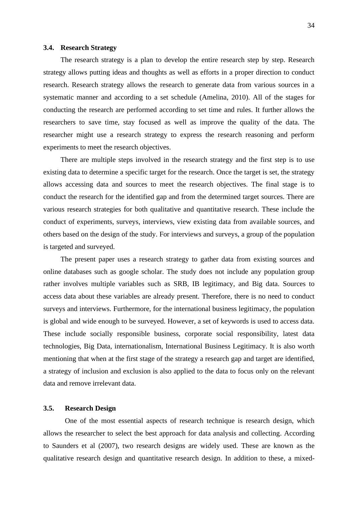#### <span id="page-33-0"></span>**3.4. Research Strategy**

The research strategy is a plan to develop the entire research step by step. Research strategy allows putting ideas and thoughts as well as efforts in a proper direction to conduct research. Research strategy allows the research to generate data from various sources in a systematic manner and according to a set schedule (Amelina, 2010). All of the stages for conducting the research are performed according to set time and rules. It further allows the researchers to save time, stay focused as well as improve the quality of the data. The researcher might use a research strategy to express the research reasoning and perform experiments to meet the research objectives.

There are multiple steps involved in the research strategy and the first step is to use existing data to determine a specific target for the research. Once the target is set, the strategy allows accessing data and sources to meet the research objectives. The final stage is to conduct the research for the identified gap and from the determined target sources. There are various research strategies for both qualitative and quantitative research. These include the conduct of experiments, surveys, interviews, view existing data from available sources, and others based on the design of the study. For interviews and surveys, a group of the population is targeted and surveyed.

The present paper uses a research strategy to gather data from existing sources and online databases such as google scholar. The study does not include any population group rather involves multiple variables such as SRB, IB legitimacy, and Big data. Sources to access data about these variables are already present. Therefore, there is no need to conduct surveys and interviews. Furthermore, for the international business legitimacy, the population is global and wide enough to be surveyed. However, a set of keywords is used to access data. These include socially responsible business, corporate social responsibility, latest data technologies, Big Data, internationalism, International Business Legitimacy. It is also worth mentioning that when at the first stage of the strategy a research gap and target are identified, a strategy of inclusion and exclusion is also applied to the data to focus only on the relevant data and remove irrelevant data.

## <span id="page-33-1"></span>**3.5. Research Design**

One of the most essential aspects of research technique is research design, which allows the researcher to select the best approach for data analysis and collecting. According to Saunders et al (2007), two research designs are widely used. These are known as the qualitative research design and quantitative research design. In addition to these, a mixed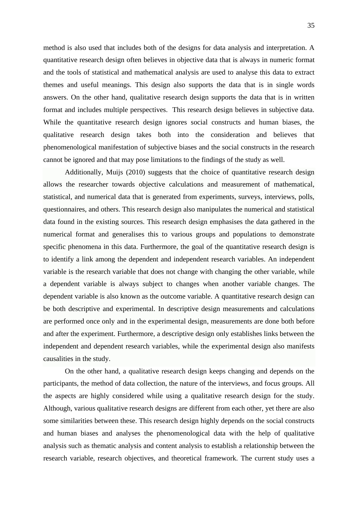method is also used that includes both of the designs for data analysis and interpretation. A quantitative research design often believes in objective data that is always in numeric format and the tools of statistical and mathematical analysis are used to analyse this data to extract themes and useful meanings. This design also supports the data that is in single words answers. On the other hand, qualitative research design supports the data that is in written format and includes multiple perspectives. This research design believes in subjective data. While the quantitative research design ignores social constructs and human biases, the qualitative research design takes both into the consideration and believes that phenomenological manifestation of subjective biases and the social constructs in the research cannot be ignored and that may pose limitations to the findings of the study as well.

Additionally, Muijs (2010) suggests that the choice of quantitative research design allows the researcher towards objective calculations and measurement of mathematical, statistical, and numerical data that is generated from experiments, surveys, interviews, polls, questionnaires, and others. This research design also manipulates the numerical and statistical data found in the existing sources. This research design emphasises the data gathered in the numerical format and generalises this to various groups and populations to demonstrate specific phenomena in this data. Furthermore, the goal of the quantitative research design is to identify a link among the dependent and independent research variables. An independent variable is the research variable that does not change with changing the other variable, while a dependent variable is always subject to changes when another variable changes. The dependent variable is also known as the outcome variable. A quantitative research design can be both descriptive and experimental. In descriptive design measurements and calculations are performed once only and in the experimental design, measurements are done both before and after the experiment. Furthermore, a descriptive design only establishes links between the independent and dependent research variables, while the experimental design also manifests causalities in the study.

On the other hand, a qualitative research design keeps changing and depends on the participants, the method of data collection, the nature of the interviews, and focus groups. All the aspects are highly considered while using a qualitative research design for the study. Although, various qualitative research designs are different from each other, yet there are also some similarities between these. This research design highly depends on the social constructs and human biases and analyses the phenomenological data with the help of qualitative analysis such as thematic analysis and content analysis to establish a relationship between the research variable, research objectives, and theoretical framework. The current study uses a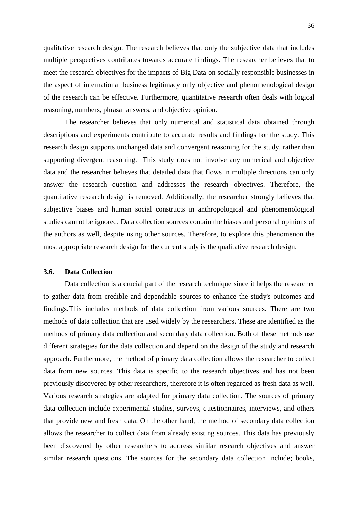qualitative research design. The research believes that only the subjective data that includes multiple perspectives contributes towards accurate findings. The researcher believes that to meet the research objectives for the impacts of Big Data on socially responsible businesses in the aspect of international business legitimacy only objective and phenomenological design of the research can be effective. Furthermore, quantitative research often deals with logical reasoning, numbers, phrasal answers, and objective opinion.

The researcher believes that only numerical and statistical data obtained through descriptions and experiments contribute to accurate results and findings for the study. This research design supports unchanged data and convergent reasoning for the study, rather than supporting divergent reasoning. This study does not involve any numerical and objective data and the researcher believes that detailed data that flows in multiple directions can only answer the research question and addresses the research objectives. Therefore, the quantitative research design is removed. Additionally, the researcher strongly believes that subjective biases and human social constructs in anthropological and phenomenological studies cannot be ignored. Data collection sources contain the biases and personal opinions of the authors as well, despite using other sources. Therefore, to explore this phenomenon the most appropriate research design for the current study is the qualitative research design.

## <span id="page-35-0"></span>**3.6. Data Collection**

Data collection is a crucial part of the research technique since it helps the researcher to gather data from credible and dependable sources to enhance the study's outcomes and findings.This includes methods of data collection from various sources. There are two methods of data collection that are used widely by the researchers. These are identified as the methods of primary data collection and secondary data collection. Both of these methods use different strategies for the data collection and depend on the design of the study and research approach. Furthermore, the method of primary data collection allows the researcher to collect data from new sources. This data is specific to the research objectives and has not been previously discovered by other researchers, therefore it is often regarded as fresh data as well. Various research strategies are adapted for primary data collection. The sources of primary data collection include experimental studies, surveys, questionnaires, interviews, and others that provide new and fresh data. On the other hand, the method of secondary data collection allows the researcher to collect data from already existing sources. This data has previously been discovered by other researchers to address similar research objectives and answer similar research questions. The sources for the secondary data collection include; books,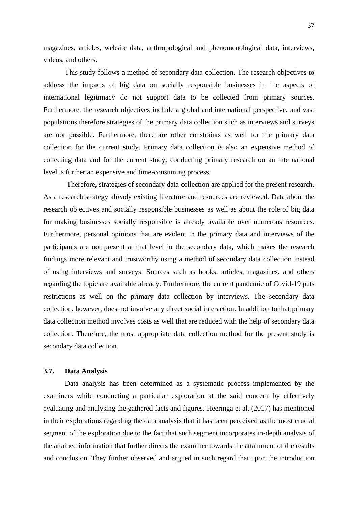magazines, articles, website data, anthropological and phenomenological data, interviews, videos, and others.

This study follows a method of secondary data collection. The research objectives to address the impacts of big data on socially responsible businesses in the aspects of international legitimacy do not support data to be collected from primary sources. Furthermore, the research objectives include a global and international perspective, and vast populations therefore strategies of the primary data collection such as interviews and surveys are not possible. Furthermore, there are other constraints as well for the primary data collection for the current study. Primary data collection is also an expensive method of collecting data and for the current study, conducting primary research on an international level is further an expensive and time-consuming process.

Therefore, strategies of secondary data collection are applied for the present research. As a research strategy already existing literature and resources are reviewed. Data about the research objectives and socially responsible businesses as well as about the role of big data for making businesses socially responsible is already available over numerous resources. Furthermore, personal opinions that are evident in the primary data and interviews of the participants are not present at that level in the secondary data, which makes the research findings more relevant and trustworthy using a method of secondary data collection instead of using interviews and surveys. Sources such as books, articles, magazines, and others regarding the topic are available already. Furthermore, the current pandemic of Covid-19 puts restrictions as well on the primary data collection by interviews. The secondary data collection, however, does not involve any direct social interaction. In addition to that primary data collection method involves costs as well that are reduced with the help of secondary data collection. Therefore, the most appropriate data collection method for the present study is secondary data collection.

## <span id="page-36-0"></span>**3.7. Data Analysis**

Data analysis has been determined as a systematic process implemented by the examiners while conducting a particular exploration at the said concern by effectively evaluating and analysing the gathered facts and figures. Heeringa et al. (2017) has mentioned in their explorations regarding the data analysis that it has been perceived as the most crucial segment of the exploration due to the fact that such segment incorporates in-depth analysis of the attained information that further directs the examiner towards the attainment of the results and conclusion. They further observed and argued in such regard that upon the introduction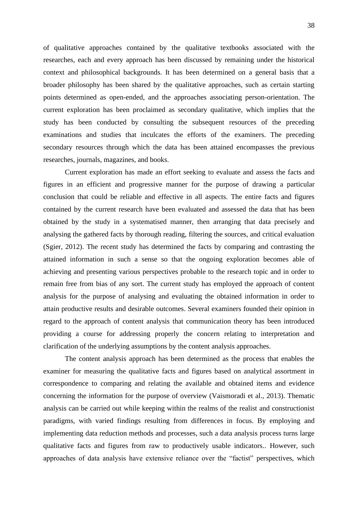of qualitative approaches contained by the qualitative textbooks associated with the researches, each and every approach has been discussed by remaining under the historical context and philosophical backgrounds. It has been determined on a general basis that a broader philosophy has been shared by the qualitative approaches, such as certain starting points determined as open-ended, and the approaches associating person-orientation. The current exploration has been proclaimed as secondary qualitative, which implies that the study has been conducted by consulting the subsequent resources of the preceding examinations and studies that inculcates the efforts of the examiners. The preceding secondary resources through which the data has been attained encompasses the previous researches, journals, magazines, and books.

Current exploration has made an effort seeking to evaluate and assess the facts and figures in an efficient and progressive manner for the purpose of drawing a particular conclusion that could be reliable and effective in all aspects. The entire facts and figures contained by the current research have been evaluated and assessed the data that has been obtained by the study in a systematised manner, then arranging that data precisely and analysing the gathered facts by thorough reading, filtering the sources, and critical evaluation (Sgier, 2012). The recent study has determined the facts by comparing and contrasting the attained information in such a sense so that the ongoing exploration becomes able of achieving and presenting various perspectives probable to the research topic and in order to remain free from bias of any sort. The current study has employed the approach of content analysis for the purpose of analysing and evaluating the obtained information in order to attain productive results and desirable outcomes. Several examiners founded their opinion in regard to the approach of content analysis that communication theory has been introduced providing a course for addressing properly the concern relating to interpretation and clarification of the underlying assumptions by the content analysis approaches.

The content analysis approach has been determined as the process that enables the examiner for measuring the qualitative facts and figures based on analytical assortment in correspondence to comparing and relating the available and obtained items and evidence concerning the information for the purpose of overview (Vaismoradi et al., 2013). Thematic analysis can be carried out while keeping within the realms of the realist and constructionist paradigms, with varied findings resulting from differences in focus. By employing and implementing data reduction methods and processes, such a data analysis process turns large qualitative facts and figures from raw to productively usable indicators.. However, such approaches of data analysis have extensive reliance over the "factist" perspectives, which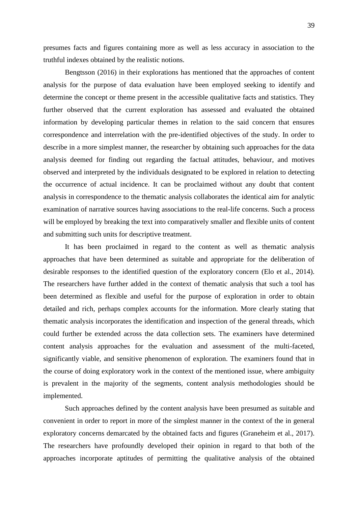presumes facts and figures containing more as well as less accuracy in association to the truthful indexes obtained by the realistic notions.

Bengtsson (2016) in their explorations has mentioned that the approaches of content analysis for the purpose of data evaluation have been employed seeking to identify and determine the concept or theme present in the accessible qualitative facts and statistics. They further observed that the current exploration has assessed and evaluated the obtained information by developing particular themes in relation to the said concern that ensures correspondence and interrelation with the pre-identified objectives of the study. In order to describe in a more simplest manner, the researcher by obtaining such approaches for the data analysis deemed for finding out regarding the factual attitudes, behaviour, and motives observed and interpreted by the individuals designated to be explored in relation to detecting the occurrence of actual incidence. It can be proclaimed without any doubt that content analysis in correspondence to the thematic analysis collaborates the identical aim for analytic examination of narrative sources having associations to the real-life concerns. Such a process will be employed by breaking the text into comparatively smaller and flexible units of content and submitting such units for descriptive treatment.

It has been proclaimed in regard to the content as well as thematic analysis approaches that have been determined as suitable and appropriate for the deliberation of desirable responses to the identified question of the exploratory concern (Elo et al., 2014). The researchers have further added in the context of thematic analysis that such a tool has been determined as flexible and useful for the purpose of exploration in order to obtain detailed and rich, perhaps complex accounts for the information. More clearly stating that thematic analysis incorporates the identification and inspection of the general threads, which could further be extended across the data collection sets. The examiners have determined content analysis approaches for the evaluation and assessment of the multi-faceted, significantly viable, and sensitive phenomenon of exploration. The examiners found that in the course of doing exploratory work in the context of the mentioned issue, where ambiguity is prevalent in the majority of the segments, content analysis methodologies should be implemented.

Such approaches defined by the content analysis have been presumed as suitable and convenient in order to report in more of the simplest manner in the context of the in general exploratory concerns demarcated by the obtained facts and figures (Graneheim et al., 2017). The researchers have profoundly developed their opinion in regard to that both of the approaches incorporate aptitudes of permitting the qualitative analysis of the obtained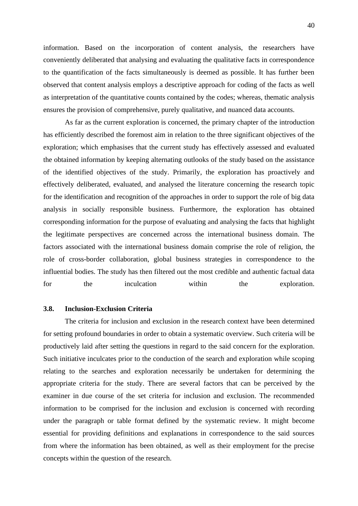information. Based on the incorporation of content analysis, the researchers have conveniently deliberated that analysing and evaluating the qualitative facts in correspondence to the quantification of the facts simultaneously is deemed as possible. It has further been observed that content analysis employs a descriptive approach for coding of the facts as well as interpretation of the quantitative counts contained by the codes; whereas, thematic analysis ensures the provision of comprehensive, purely qualitative, and nuanced data accounts.

As far as the current exploration is concerned, the primary chapter of the introduction has efficiently described the foremost aim in relation to the three significant objectives of the exploration; which emphasises that the current study has effectively assessed and evaluated the obtained information by keeping alternating outlooks of the study based on the assistance of the identified objectives of the study. Primarily, the exploration has proactively and effectively deliberated, evaluated, and analysed the literature concerning the research topic for the identification and recognition of the approaches in order to support the role of big data analysis in socially responsible business. Furthermore, the exploration has obtained corresponding information for the purpose of evaluating and analysing the facts that highlight the legitimate perspectives are concerned across the international business domain. The factors associated with the international business domain comprise the role of religion, the role of cross-border collaboration, global business strategies in correspondence to the influential bodies. The study has then filtered out the most credible and authentic factual data for the inculcation within the exploration.

#### <span id="page-39-0"></span>**3.8. Inclusion-Exclusion Criteria**

The criteria for inclusion and exclusion in the research context have been determined for setting profound boundaries in order to obtain a systematic overview. Such criteria will be productively laid after setting the questions in regard to the said concern for the exploration. Such initiative inculcates prior to the conduction of the search and exploration while scoping relating to the searches and exploration necessarily be undertaken for determining the appropriate criteria for the study. There are several factors that can be perceived by the examiner in due course of the set criteria for inclusion and exclusion. The recommended information to be comprised for the inclusion and exclusion is concerned with recording under the paragraph or table format defined by the systematic review. It might become essential for providing definitions and explanations in correspondence to the said sources from where the information has been obtained, as well as their employment for the precise concepts within the question of the research.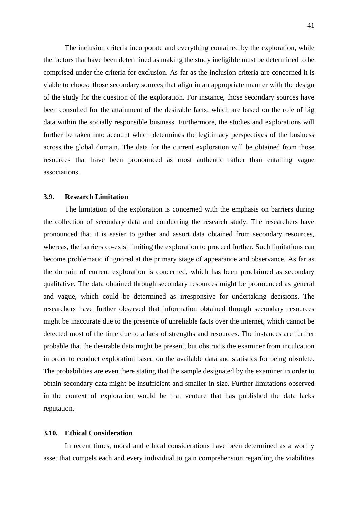The inclusion criteria incorporate and everything contained by the exploration, while the factors that have been determined as making the study ineligible must be determined to be comprised under the criteria for exclusion. As far as the inclusion criteria are concerned it is viable to choose those secondary sources that align in an appropriate manner with the design of the study for the question of the exploration. For instance, those secondary sources have been consulted for the attainment of the desirable facts, which are based on the role of big data within the socially responsible business. Furthermore, the studies and explorations will further be taken into account which determines the legitimacy perspectives of the business across the global domain. The data for the current exploration will be obtained from those resources that have been pronounced as most authentic rather than entailing vague associations.

## <span id="page-40-0"></span>**3.9. Research Limitation**

The limitation of the exploration is concerned with the emphasis on barriers during the collection of secondary data and conducting the research study. The researchers have pronounced that it is easier to gather and assort data obtained from secondary resources, whereas, the barriers co-exist limiting the exploration to proceed further. Such limitations can become problematic if ignored at the primary stage of appearance and observance. As far as the domain of current exploration is concerned, which has been proclaimed as secondary qualitative. The data obtained through secondary resources might be pronounced as general and vague, which could be determined as irresponsive for undertaking decisions. The researchers have further observed that information obtained through secondary resources might be inaccurate due to the presence of unreliable facts over the internet, which cannot be detected most of the time due to a lack of strengths and resources. The instances are further probable that the desirable data might be present, but obstructs the examiner from inculcation in order to conduct exploration based on the available data and statistics for being obsolete. The probabilities are even there stating that the sample designated by the examiner in order to obtain secondary data might be insufficient and smaller in size. Further limitations observed in the context of exploration would be that venture that has published the data lacks reputation.

## <span id="page-40-1"></span>**3.10. Ethical Consideration**

In recent times, moral and ethical considerations have been determined as a worthy asset that compels each and every individual to gain comprehension regarding the viabilities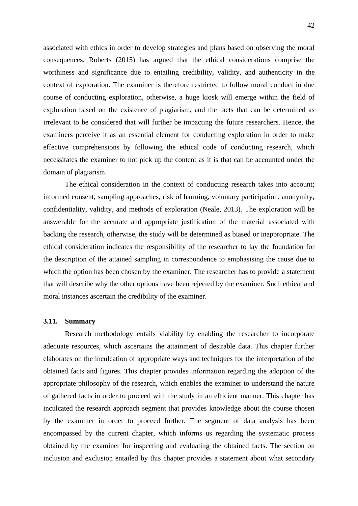associated with ethics in order to develop strategies and plans based on observing the moral consequences. Roberts (2015) has argued that the ethical considerations comprise the worthiness and significance due to entailing credibility, validity, and authenticity in the context of exploration. The examiner is therefore restricted to follow moral conduct in due course of conducting exploration, otherwise, a huge kiosk will emerge within the field of exploration based on the existence of plagiarism, and the facts that can be determined as irrelevant to be considered that will further be impacting the future researchers. Hence, the examiners perceive it as an essential element for conducting exploration in order to make effective comprehensions by following the ethical code of conducting research, which necessitates the examiner to not pick up the content as it is that can be accounted under the domain of plagiarism.

The ethical consideration in the context of conducting research takes into account; informed consent, sampling approaches, risk of harming, voluntary participation, anonymity, confidentiality, validity, and methods of exploration (Neale, 2013). The exploration will be answerable for the accurate and appropriate justification of the material associated with backing the research, otherwise, the study will be determined as biased or inappropriate. The ethical consideration indicates the responsibility of the researcher to lay the foundation for the description of the attained sampling in correspondence to emphasising the cause due to which the option has been chosen by the examiner. The researcher has to provide a statement that will describe why the other options have been rejected by the examiner. Such ethical and moral instances ascertain the credibility of the examiner.

#### <span id="page-41-0"></span>**3.11. Summary**

Research methodology entails viability by enabling the researcher to incorporate adequate resources, which ascertains the attainment of desirable data. This chapter further elaborates on the inculcation of appropriate ways and techniques for the interpretation of the obtained facts and figures. This chapter provides information regarding the adoption of the appropriate philosophy of the research, which enables the examiner to understand the nature of gathered facts in order to proceed with the study in an efficient manner. This chapter has inculcated the research approach segment that provides knowledge about the course chosen by the examiner in order to proceed further. The segment of data analysis has been encompassed by the current chapter, which informs us regarding the systematic process obtained by the examiner for inspecting and evaluating the obtained facts. The section on inclusion and exclusion entailed by this chapter provides a statement about what secondary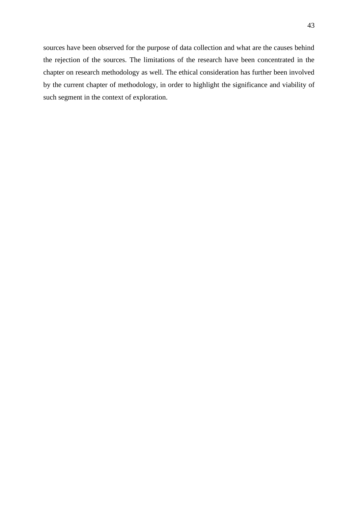sources have been observed for the purpose of data collection and what are the causes behind the rejection of the sources. The limitations of the research have been concentrated in the chapter on research methodology as well. The ethical consideration has further been involved by the current chapter of methodology, in order to highlight the significance and viability of such segment in the context of exploration.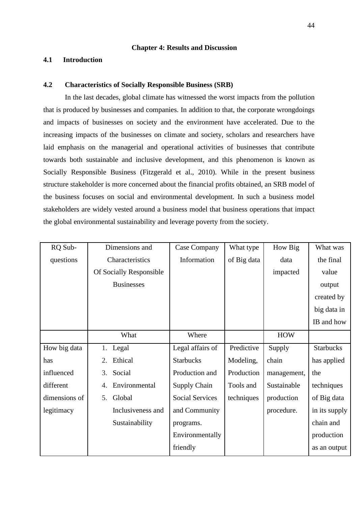## **Chapter 4: Results and Discussion**

## <span id="page-43-1"></span><span id="page-43-0"></span>**4.1 Introduction**

## <span id="page-43-2"></span>**4.2 Characteristics of Socially Responsible Business (SRB)**

In the last decades, global climate has witnessed the worst impacts from the pollution that is produced by businesses and companies. In addition to that, the corporate wrongdoings and impacts of businesses on society and the environment have accelerated. Due to the increasing impacts of the businesses on climate and society, scholars and researchers have laid emphasis on the managerial and operational activities of businesses that contribute towards both sustainable and inclusive development, and this phenomenon is known as Socially Responsible Business (Fitzgerald et al., 2010). While in the present business structure stakeholder is more concerned about the financial profits obtained, an SRB model of the business focuses on social and environmental development. In such a business model stakeholders are widely vested around a business model that business operations that impact the global environmental sustainability and leverage poverty from the society.

| RQ Sub-       | Dimensions and          | Case Company           | What type   | How Big     | What was         |
|---------------|-------------------------|------------------------|-------------|-------------|------------------|
| questions     | Characteristics         | Information            | of Big data | data        | the final        |
|               | Of Socially Responsible |                        |             | impacted    | value            |
|               | <b>Businesses</b>       |                        |             |             | output           |
|               |                         |                        |             |             | created by       |
|               |                         |                        |             |             | big data in      |
|               |                         |                        |             |             | IB and how       |
|               | What                    | Where                  |             | <b>HOW</b>  |                  |
| How big data  | 1. Legal                | Legal affairs of       | Predictive  | Supply      | <b>Starbucks</b> |
| has           | Ethical<br>2.           | <b>Starbucks</b>       | Modeling,   | chain       | has applied      |
| influenced    | 3.<br>Social            | Production and         | Production  | management, | the              |
| different     | Environmental<br>4.     | Supply Chain           | Tools and   | Sustainable | techniques       |
| dimensions of | 5.<br>Global            | <b>Social Services</b> | techniques  | production  | of Big data      |
| legitimacy    | Inclusiveness and       | and Community          |             | procedure.  | in its supply    |
|               | Sustainability          | programs.              |             |             | chain and        |
|               |                         | Environmentally        |             |             | production       |
|               |                         | friendly               |             |             | as an output     |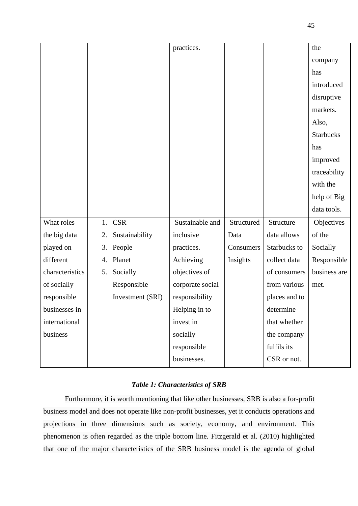|                 |    |                  | practices.       |            |               | the              |
|-----------------|----|------------------|------------------|------------|---------------|------------------|
|                 |    |                  |                  |            |               | company          |
|                 |    |                  |                  |            |               | has              |
|                 |    |                  |                  |            |               | introduced       |
|                 |    |                  |                  |            |               | disruptive       |
|                 |    |                  |                  |            |               | markets.         |
|                 |    |                  |                  |            |               | Also,            |
|                 |    |                  |                  |            |               | <b>Starbucks</b> |
|                 |    |                  |                  |            |               | has              |
|                 |    |                  |                  |            |               | improved         |
|                 |    |                  |                  |            |               | traceability     |
|                 |    |                  |                  |            |               | with the         |
|                 |    |                  |                  |            |               | help of Big      |
|                 |    |                  |                  |            |               | data tools.      |
| What roles      |    | 1. CSR           | Sustainable and  | Structured | Structure     | Objectives       |
| the big data    | 2. | Sustainability   | inclusive        | Data       | data allows   | of the           |
| played on       | 3. | People           | practices.       | Consumers  | Starbucks to  | Socially         |
| different       | 4. | Planet           | Achieving        | Insights   | collect data  | Responsible      |
| characteristics | 5. | Socially         | objectives of    |            | of consumers  | business are     |
| of socially     |    | Responsible      | corporate social |            | from various  | met.             |
| responsible     |    | Investment (SRI) | responsibility   |            | places and to |                  |
| businesses in   |    |                  | Helping in to    |            | determine     |                  |
| international   |    |                  | invest in        |            | that whether  |                  |
| business        |    |                  | socially         |            | the company   |                  |
|                 |    |                  | responsible      |            | fulfils its   |                  |
|                 |    |                  | businesses.      |            | CSR or not.   |                  |
|                 |    |                  |                  |            |               |                  |

## *Table 1: Characteristics of SRB*

<span id="page-44-0"></span>Furthermore, it is worth mentioning that like other businesses, SRB is also a for-profit business model and does not operate like non-profit businesses, yet it conducts operations and projections in three dimensions such as society, economy, and environment. This phenomenon is often regarded as the triple bottom line. Fitzgerald et al. (2010) highlighted that one of the major characteristics of the SRB business model is the agenda of global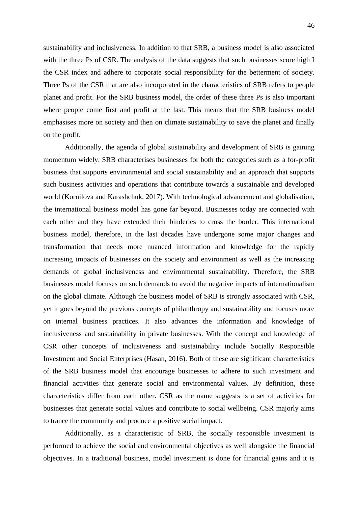sustainability and inclusiveness. In addition to that SRB, a business model is also associated with the three Ps of CSR. The analysis of the data suggests that such businesses score high I the CSR index and adhere to corporate social responsibility for the betterment of society. Three Ps of the CSR that are also incorporated in the characteristics of SRB refers to people planet and profit. For the SRB business model, the order of these three Ps is also important where people come first and profit at the last. This means that the SRB business model emphasises more on society and then on climate sustainability to save the planet and finally on the profit.

Additionally, the agenda of global sustainability and development of SRB is gaining momentum widely. SRB characterises businesses for both the categories such as a for-profit business that supports environmental and social sustainability and an approach that supports such business activities and operations that contribute towards a sustainable and developed world (Kornilova and Karashchuk, 2017). With technological advancement and globalisation, the international business model has gone far beyond. Businesses today are connected with each other and they have extended their binderies to cross the border. This international business model, therefore, in the last decades have undergone some major changes and transformation that needs more nuanced information and knowledge for the rapidly increasing impacts of businesses on the society and environment as well as the increasing demands of global inclusiveness and environmental sustainability. Therefore, the SRB businesses model focuses on such demands to avoid the negative impacts of internationalism on the global climate. Although the business model of SRB is strongly associated with CSR, yet it goes beyond the previous concepts of philanthropy and sustainability and focuses more on internal business practices. It also advances the information and knowledge of inclusiveness and sustainability in private businesses. With the concept and knowledge of CSR other concepts of inclusiveness and sustainability include Socially Responsible Investment and Social Enterprises (Hasan, 2016). Both of these are significant characteristics of the SRB business model that encourage businesses to adhere to such investment and financial activities that generate social and environmental values. By definition, these characteristics differ from each other. CSR as the name suggests is a set of activities for businesses that generate social values and contribute to social wellbeing. CSR majorly aims to trance the community and produce a positive social impact.

Additionally, as a characteristic of SRB, the socially responsible investment is performed to achieve the social and environmental objectives as well alongside the financial objectives. In a traditional business, model investment is done for financial gains and it is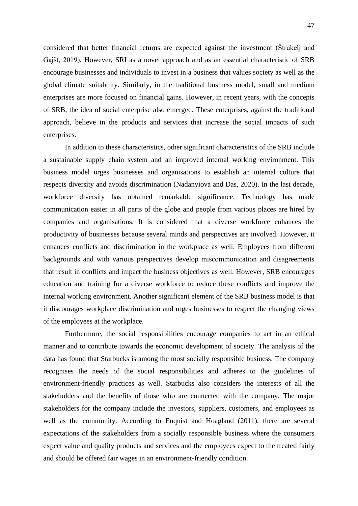considered that better financial returns are expected against the investment (Štrukelj and Gajšt, 2019). However, SRI as a novel approach and as an essential characteristic of SRB encourage businesses and individuals to invest in a business that values society as well as the global climate suitability. Similarly, in the traditional business model, small and medium enterprises are more focused on financial gains. However, in recent years, with the concepts of SRB, the idea of social enterprise also emerged. These enterprises, against the traditional approach, believe in the products and services that increase the social impacts of such enterprises.

In addition to these characteristics, other significant characteristics of the SRB include a sustainable supply chain system and an improved internal working environment. This business model urges businesses and organisations to establish an internal culture that respects diversity and avoids discrimination (Nadanyiova and Das, 2020). In the last decade, workforce diversity has obtained remarkable significance. Technology has made communication easier in all parts of the globe and people from various places are hired by companies and organisations. It is considered that a diverse workforce enhances the productivity of businesses because several minds and perspectives are involved. However, it enhances conflicts and discrimination in the workplace as well. Employees from different backgrounds and with various perspectives develop miscommunication and disagreements that result in conflicts and impact the business objectives as well. However, SRB encourages education and training for a diverse workforce to reduce these conflicts and improve the internal working environment. Another significant element of the SRB business model is that it discourages workplace discrimination and urges businesses to respect the changing views of the employees at the workplace.

Furthermore, the social responsibilities encourage companies to act in an ethical manner and to contribute towards the economic development of society. The analysis of the data has found that Starbucks is among the most socially responsible business. The company recognises the needs of the social responsibilities and adheres to the guidelines of environment-friendly practices as well. Starbucks also considers the interests of all the stakeholders and the benefits of those who are connected with the company. The major stakeholders for the company include the investors, suppliers, customers, and employees as well as the community. According to Enquist and Hoagland (2011), there are several expectations of the stakeholders from a socially responsible business where the consumers expect value and quality products and services and the employees expect to the treated fairly and should be offered fair wages in an environment-friendly condition.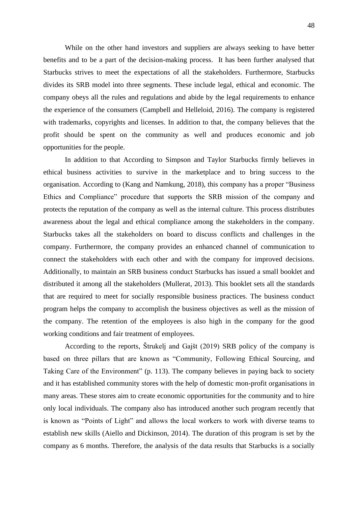While on the other hand investors and suppliers are always seeking to have better benefits and to be a part of the decision-making process. It has been further analysed that Starbucks strives to meet the expectations of all the stakeholders. Furthermore, Starbucks divides its SRB model into three segments. These include legal, ethical and economic. The company obeys all the rules and regulations and abide by the legal requirements to enhance the experience of the consumers (Campbell and Helleloid, 2016). The company is registered with trademarks, copyrights and licenses. In addition to that, the company believes that the profit should be spent on the community as well and produces economic and job opportunities for the people.

In addition to that According to Simpson and Taylor Starbucks firmly believes in ethical business activities to survive in the marketplace and to bring success to the organisation. According to (Kang and Namkung, 2018), this company has a proper "Business Ethics and Compliance" procedure that supports the SRB mission of the company and protects the reputation of the company as well as the internal culture. This process distributes awareness about the legal and ethical compliance among the stakeholders in the company. Starbucks takes all the stakeholders on board to discuss conflicts and challenges in the company. Furthermore, the company provides an enhanced channel of communication to connect the stakeholders with each other and with the company for improved decisions. Additionally, to maintain an SRB business conduct Starbucks has issued a small booklet and distributed it among all the stakeholders (Mullerat, 2013). This booklet sets all the standards that are required to meet for socially responsible business practices. The business conduct program helps the company to accomplish the business objectives as well as the mission of the company. The retention of the employees is also high in the company for the good working conditions and fair treatment of employees.

According to the reports, Štrukelj and Gajšt (2019) SRB policy of the company is based on three pillars that are known as "Community, Following Ethical Sourcing, and Taking Care of the Environment" (p. 113). The company believes in paying back to society and it has established community stores with the help of domestic mon-profit organisations in many areas. These stores aim to create economic opportunities for the community and to hire only local individuals. The company also has introduced another such program recently that is known as "Points of Light" and allows the local workers to work with diverse teams to establish new skills (Aiello and Dickinson, 2014). The duration of this program is set by the company as 6 months. Therefore, the analysis of the data results that Starbucks is a socially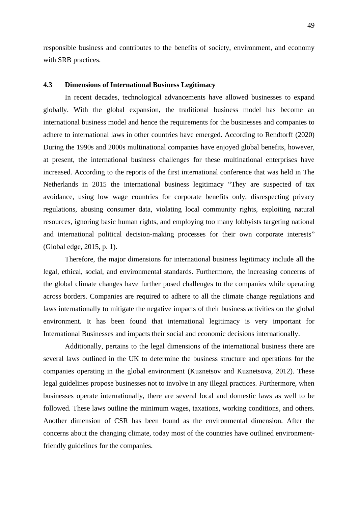responsible business and contributes to the benefits of society, environment, and economy with SRB practices.

## <span id="page-48-0"></span>**4.3 Dimensions of International Business Legitimacy**

In recent decades, technological advancements have allowed businesses to expand globally. With the global expansion, the traditional business model has become an international business model and hence the requirements for the businesses and companies to adhere to international laws in other countries have emerged. According to Rendtorff (2020) During the 1990s and 2000s multinational companies have enjoyed global benefits, however, at present, the international business challenges for these multinational enterprises have increased. According to the reports of the first international conference that was held in The Netherlands in 2015 the international business legitimacy "They are suspected of tax avoidance, using low wage countries for corporate benefits only, disrespecting privacy regulations, abusing consumer data, violating local community rights, exploiting natural resources, ignoring basic human rights, and employing too many lobbyists targeting national and international political decision-making processes for their own corporate interests" (Global edge, 2015, p. 1).

Therefore, the major dimensions for international business legitimacy include all the legal, ethical, social, and environmental standards. Furthermore, the increasing concerns of the global climate changes have further posed challenges to the companies while operating across borders. Companies are required to adhere to all the climate change regulations and laws internationally to mitigate the negative impacts of their business activities on the global environment. It has been found that international legitimacy is very important for International Businesses and impacts their social and economic decisions internationally.

Additionally, pertains to the legal dimensions of the international business there are several laws outlined in the UK to determine the business structure and operations for the companies operating in the global environment (Kuznetsov and Kuznetsova, 2012). These legal guidelines propose businesses not to involve in any illegal practices. Furthermore, when businesses operate internationally, there are several local and domestic laws as well to be followed. These laws outline the minimum wages, taxations, working conditions, and others. Another dimension of CSR has been found as the environmental dimension. After the concerns about the changing climate, today most of the countries have outlined environmentfriendly guidelines for the companies.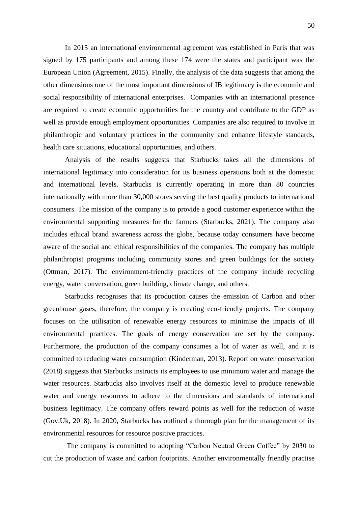In 2015 an international environmental agreement was established in Paris that was signed by 175 participants and among these 174 were the states and participant was the European Union (Agreement, 2015). Finally, the analysis of the data suggests that among the other dimensions one of the most important dimensions of IB legitimacy is the economic and social responsibility of international enterprises. Companies with an international presence are required to create economic opportunities for the country and contribute to the GDP as well as provide enough employment opportunities. Companies are also required to involve in philanthropic and voluntary practices in the community and enhance lifestyle standards, health care situations, educational opportunities, and others.

Analysis of the results suggests that Starbucks takes all the dimensions of international legitimacy into consideration for its business operations both at the domestic and international levels. Starbucks is currently operating in more than 80 countries internationally with more than 30,000 stores serving the best quality products to international consumers. The mission of the company is to provide a good customer experience within the environmental supporting measures for the farmers (Starbucks, 2021). The company also includes ethical brand awareness across the globe, because today consumers have become aware of the social and ethical responsibilities of the companies. The company has multiple philanthropist programs including community stores and green buildings for the society (Ottman, 2017). The environment-friendly practices of the company include recycling energy, water conversation, green building, climate change, and others.

Starbucks recognises that its production causes the emission of Carbon and other greenhouse gases, therefore, the company is creating eco-friendly projects. The company focuses on the utilisation of renewable energy resources to minimise the impacts of ill environmental practices. The goals of energy conservation are set by the company. Furthermore, the production of the company consumes a lot of water as well, and it is committed to reducing water consumption (Kinderman, 2013). Report on water conservation (2018) suggests that Starbucks instructs its employees to use minimum water and manage the water resources. Starbucks also involves itself at the domestic level to produce renewable water and energy resources to adhere to the dimensions and standards of international business legitimacy. The company offers reward points as well for the reduction of waste (Gov.Uk, 2018). In 2020, Starbucks has outlined a thorough plan for the management of its environmental resources for resource positive practices.

The company is committed to adopting "Carbon Neutral Green Coffee" by 2030 to cut the production of waste and carbon footprints. Another environmentally friendly practise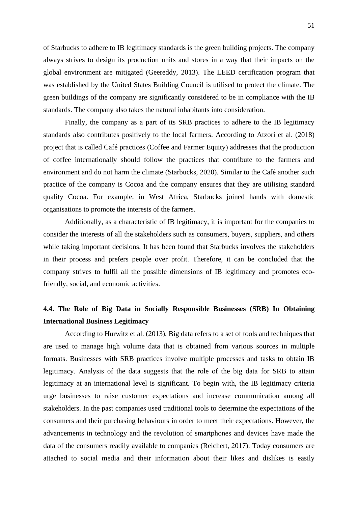of Starbucks to adhere to IB legitimacy standards is the green building projects. The company always strives to design its production units and stores in a way that their impacts on the global environment are mitigated (Geereddy, 2013). The LEED certification program that was established by the United States Building Council is utilised to protect the climate. The green buildings of the company are significantly considered to be in compliance with the IB standards. The company also takes the natural inhabitants into consideration.

Finally, the company as a part of its SRB practices to adhere to the IB legitimacy standards also contributes positively to the local farmers. According to Atzori et al. (2018) project that is called Café practices (Coffee and Farmer Equity) addresses that the production of coffee internationally should follow the practices that contribute to the farmers and environment and do not harm the climate (Starbucks, 2020). Similar to the Café another such practice of the company is Cocoa and the company ensures that they are utilising standard quality Cocoa. For example, in West Africa, Starbucks joined hands with domestic organisations to promote the interests of the farmers.

Additionally, as a characteristic of IB legitimacy, it is important for the companies to consider the interests of all the stakeholders such as consumers, buyers, suppliers, and others while taking important decisions. It has been found that Starbucks involves the stakeholders in their process and prefers people over profit. Therefore, it can be concluded that the company strives to fulfil all the possible dimensions of IB legitimacy and promotes ecofriendly, social, and economic activities.

## <span id="page-50-0"></span>**4.4. The Role of Big Data in Socially Responsible Businesses (SRB) In Obtaining International Business Legitimacy**

According to Hurwitz et al. (2013), Big data refers to a set of tools and techniques that are used to manage high volume data that is obtained from various sources in multiple formats. Businesses with SRB practices involve multiple processes and tasks to obtain IB legitimacy. Analysis of the data suggests that the role of the big data for SRB to attain legitimacy at an international level is significant. To begin with, the IB legitimacy criteria urge businesses to raise customer expectations and increase communication among all stakeholders. In the past companies used traditional tools to determine the expectations of the consumers and their purchasing behaviours in order to meet their expectations. However, the advancements in technology and the revolution of smartphones and devices have made the data of the consumers readily available to companies (Reichert, 2017). Today consumers are attached to social media and their information about their likes and dislikes is easily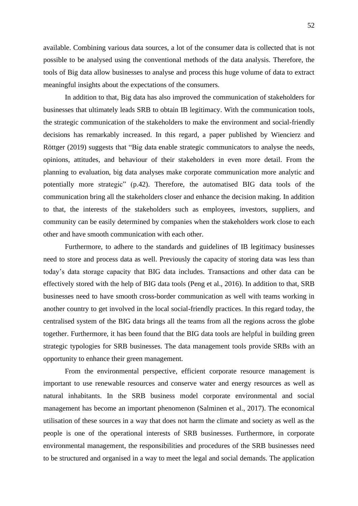available. Combining various data sources, a lot of the consumer data is collected that is not possible to be analysed using the conventional methods of the data analysis. Therefore, the tools of Big data allow businesses to analyse and process this huge volume of data to extract meaningful insights about the expectations of the consumers.

In addition to that, Big data has also improved the communication of stakeholders for businesses that ultimately leads SRB to obtain IB legitimacy. With the communication tools, the strategic communication of the stakeholders to make the environment and social-friendly decisions has remarkably increased. In this regard, a paper published by Wiencierz and Röttger (2019) suggests that "Big data enable strategic communicators to analyse the needs, opinions, attitudes, and behaviour of their stakeholders in even more detail. From the planning to evaluation, big data analyses make corporate communication more analytic and potentially more strategic" (p.42). Therefore, the automatised BIG data tools of the communication bring all the stakeholders closer and enhance the decision making. In addition to that, the interests of the stakeholders such as employees, investors, suppliers, and community can be easily determined by companies when the stakeholders work close to each other and have smooth communication with each other.

Furthermore, to adhere to the standards and guidelines of IB legitimacy businesses need to store and process data as well. Previously the capacity of storing data was less than today's data storage capacity that BIG data includes. Transactions and other data can be effectively stored with the help of BIG data tools (Peng et al., 2016). In addition to that, SRB businesses need to have smooth cross-border communication as well with teams working in another country to get involved in the local social-friendly practices. In this regard today, the centralised system of the BIG data brings all the teams from all the regions across the globe together. Furthermore, it has been found that the BIG data tools are helpful in building green strategic typologies for SRB businesses. The data management tools provide SRBs with an opportunity to enhance their green management.

From the environmental perspective, efficient corporate resource management is important to use renewable resources and conserve water and energy resources as well as natural inhabitants. In the SRB business model corporate environmental and social management has become an important phenomenon (Salminen et al., 2017). The economical utilisation of these sources in a way that does not harm the climate and society as well as the people is one of the operational interests of SRB businesses. Furthermore, in corporate environmental management, the responsibilities and procedures of the SRB businesses need to be structured and organised in a way to meet the legal and social demands. The application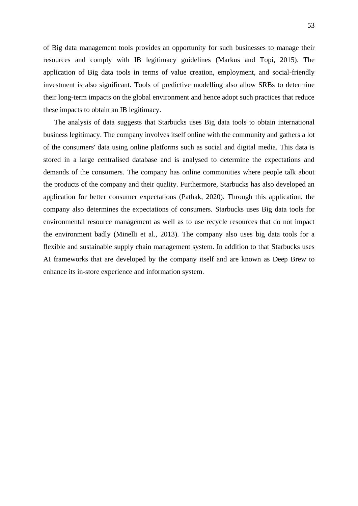of Big data management tools provides an opportunity for such businesses to manage their resources and comply with IB legitimacy guidelines (Markus and Topi, 2015). The application of Big data tools in terms of value creation, employment, and social-friendly investment is also significant. Tools of predictive modelling also allow SRBs to determine their long-term impacts on the global environment and hence adopt such practices that reduce these impacts to obtain an IB legitimacy.

The analysis of data suggests that Starbucks uses Big data tools to obtain international business legitimacy. The company involves itself online with the community and gathers a lot of the consumers' data using online platforms such as social and digital media. This data is stored in a large centralised database and is analysed to determine the expectations and demands of the consumers. The company has online communities where people talk about the products of the company and their quality. Furthermore, Starbucks has also developed an application for better consumer expectations (Pathak, 2020). Through this application, the company also determines the expectations of consumers. Starbucks uses Big data tools for environmental resource management as well as to use recycle resources that do not impact the environment badly (Minelli et al., 2013). The company also uses big data tools for a flexible and sustainable supply chain management system. In addition to that Starbucks uses AI frameworks that are developed by the company itself and are known as Deep Brew to enhance its in-store experience and information system.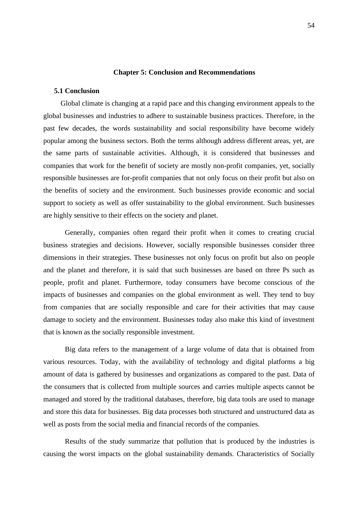#### **Chapter 5: Conclusion and Recommendations**

#### <span id="page-53-1"></span><span id="page-53-0"></span>**5.1 Conclusion**

Global climate is changing at a rapid pace and this changing environment appeals to the global businesses and industries to adhere to sustainable business practices. Therefore, in the past few decades, the words sustainability and social responsibility have become widely popular among the business sectors. Both the terms although address different areas, yet, are the same parts of sustainable activities. Although, it is considered that businesses and companies that work for the benefit of society are mostly non-profit companies, yet, socially responsible businesses are for-profit companies that not only focus on their profit but also on the benefits of society and the environment. Such businesses provide economic and social support to society as well as offer sustainability to the global environment. Such businesses are highly sensitive to their effects on the society and planet.

Generally, companies often regard their profit when it comes to creating crucial business strategies and decisions. However, socially responsible businesses consider three dimensions in their strategies. These businesses not only focus on profit but also on people and the planet and therefore, it is said that such businesses are based on three Ps such as people, profit and planet. Furthermore, today consumers have become conscious of the impacts of businesses and companies on the global environment as well. They tend to buy from companies that are socially responsible and care for their activities that may cause damage to society and the environment. Businesses today also make this kind of investment that is known as the socially responsible investment.

Big data refers to the management of a large volume of data that is obtained from various resources. Today, with the availability of technology and digital platforms a big amount of data is gathered by businesses and organizations as compared to the past. Data of the consumers that is collected from multiple sources and carries multiple aspects cannot be managed and stored by the traditional databases, therefore, big data tools are used to manage and store this data for businesses. Big data processes both structured and unstructured data as well as posts from the social media and financial records of the companies.

Results of the study summarize that pollution that is produced by the industries is causing the worst impacts on the global sustainability demands. Characteristics of Socially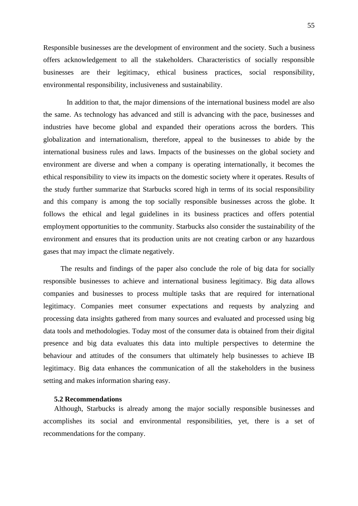Responsible businesses are the development of environment and the society. Such a business offers acknowledgement to all the stakeholders. Characteristics of socially responsible businesses are their legitimacy, ethical business practices, social responsibility, environmental responsibility, inclusiveness and sustainability.

In addition to that, the major dimensions of the international business model are also the same. As technology has advanced and still is advancing with the pace, businesses and industries have become global and expanded their operations across the borders. This globalization and internationalism, therefore, appeal to the businesses to abide by the international business rules and laws. Impacts of the businesses on the global society and environment are diverse and when a company is operating internationally, it becomes the ethical responsibility to view its impacts on the domestic society where it operates. Results of the study further summarize that Starbucks scored high in terms of its social responsibility and this company is among the top socially responsible businesses across the globe. It follows the ethical and legal guidelines in its business practices and offers potential employment opportunities to the community. Starbucks also consider the sustainability of the environment and ensures that its production units are not creating carbon or any hazardous gases that may impact the climate negatively.

The results and findings of the paper also conclude the role of big data for socially responsible businesses to achieve and international business legitimacy. Big data allows companies and businesses to process multiple tasks that are required for international legitimacy. Companies meet consumer expectations and requests by analyzing and processing data insights gathered from many sources and evaluated and processed using big data tools and methodologies. Today most of the consumer data is obtained from their digital presence and big data evaluates this data into multiple perspectives to determine the behaviour and attitudes of the consumers that ultimately help businesses to achieve IB legitimacy. Big data enhances the communication of all the stakeholders in the business setting and makes information sharing easy.

## **5.2 Recommendations**

<span id="page-54-0"></span>Although, Starbucks is already among the major socially responsible businesses and accomplishes its social and environmental responsibilities, yet, there is a set of recommendations for the company.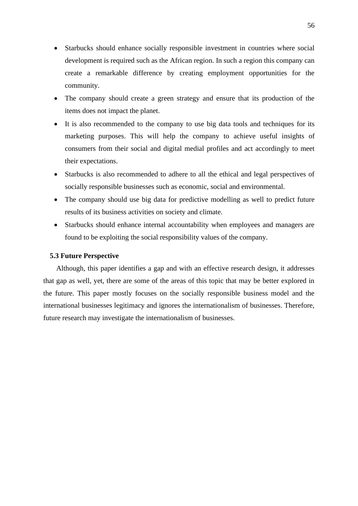- Starbucks should enhance socially responsible investment in countries where social development is required such as the African region. In such a region this company can create a remarkable difference by creating employment opportunities for the community.
- The company should create a green strategy and ensure that its production of the items does not impact the planet.
- It is also recommended to the company to use big data tools and techniques for its marketing purposes. This will help the company to achieve useful insights of consumers from their social and digital medial profiles and act accordingly to meet their expectations.
- Starbucks is also recommended to adhere to all the ethical and legal perspectives of socially responsible businesses such as economic, social and environmental.
- The company should use big data for predictive modelling as well to predict future results of its business activities on society and climate.
- Starbucks should enhance internal accountability when employees and managers are found to be exploiting the social responsibility values of the company.

### <span id="page-55-0"></span>**5.3 Future Perspective**

<span id="page-55-1"></span>Although, this paper identifies a gap and with an effective research design, it addresses that gap as well, yet, there are some of the areas of this topic that may be better explored in the future. This paper mostly focuses on the socially responsible business model and the international businesses legitimacy and ignores the internationalism of businesses. Therefore, future research may investigate the internationalism of businesses.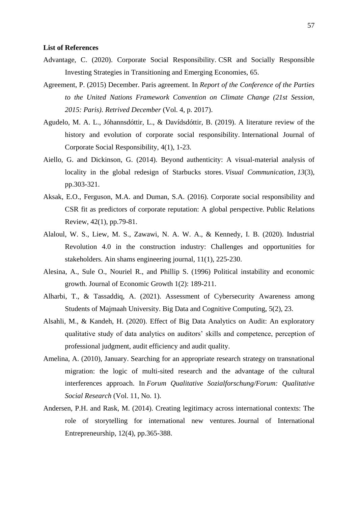#### **List of References**

- Advantage, C. (2020). Corporate Social Responsibility. CSR and Socially Responsible Investing Strategies in Transitioning and Emerging Economies, 65.
- Agreement, P. (2015) December. Paris agreement. In *Report of the Conference of the Parties to the United Nations Framework Convention on Climate Change (21st Session, 2015: Paris). Retrived December* (Vol. 4, p. 2017).
- Agudelo, M. A. L., Jóhannsdóttir, L., & Davídsdóttir, B. (2019). A literature review of the history and evolution of corporate social responsibility. International Journal of Corporate Social Responsibility, 4(1), 1-23.
- Aiello, G. and Dickinson, G. (2014). Beyond authenticity: A visual-material analysis of locality in the global redesign of Starbucks stores. *Visual Communication*, *13*(3), pp.303-321.
- Aksak, E.O., Ferguson, M.A. and Duman, S.A. (2016). Corporate social responsibility and CSR fit as predictors of corporate reputation: A global perspective. Public Relations Review, 42(1), pp.79-81.
- Alaloul, W. S., Liew, M. S., Zawawi, N. A. W. A., & Kennedy, I. B. (2020). Industrial Revolution 4.0 in the construction industry: Challenges and opportunities for stakeholders. Ain shams engineering journal, 11(1), 225-230.
- Alesina, A., Sule O., Nouriel R., and Phillip S. (1996) Political instability and economic growth. Journal of Economic Growth 1(2): 189-211.
- Alharbi, T., & Tassaddiq, A. (2021). Assessment of Cybersecurity Awareness among Students of Majmaah University. Big Data and Cognitive Computing, 5(2), 23.
- Alsahli, M., & Kandeh, H. (2020). Effect of Big Data Analytics on Audit: An exploratory qualitative study of data analytics on auditors' skills and competence, perception of professional judgment, audit efficiency and audit quality.
- Amelina, A. (2010), January. Searching for an appropriate research strategy on transnational migration: the logic of multi-sited research and the advantage of the cultural interferences approach. In *Forum Qualitative Sozialforschung/Forum: Qualitative Social Research* (Vol. 11, No. 1).
- Andersen, P.H. and Rask, M. (2014). Creating legitimacy across international contexts: The role of storytelling for international new ventures. Journal of International Entrepreneurship, 12(4), pp.365-388.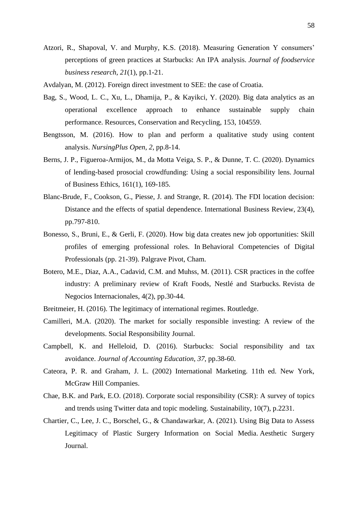- Atzori, R., Shapoval, V. and Murphy, K.S. (2018). Measuring Generation Y consumers' perceptions of green practices at Starbucks: An IPA analysis. *Journal of foodservice business research*, *21*(1), pp.1-21.
- Avdalyan, M. (2012). Foreign direct investment to SEE: the case of Croatia.
- Bag, S., Wood, L. C., Xu, L., Dhamija, P., & Kayikci, Y. (2020). Big data analytics as an operational excellence approach to enhance sustainable supply chain performance. Resources, Conservation and Recycling, 153, 104559.
- Bengtsson, M. (2016). How to plan and perform a qualitative study using content analysis. *NursingPlus Open*, *2*, pp.8-14.
- Berns, J. P., Figueroa-Armijos, M., da Motta Veiga, S. P., & Dunne, T. C. (2020). Dynamics of lending-based prosocial crowdfunding: Using a social responsibility lens. Journal of Business Ethics, 161(1), 169-185.
- Blanc-Brude, F., Cookson, G., Piesse, J. and Strange, R. (2014). The FDI location decision: Distance and the effects of spatial dependence. International Business Review, 23(4), pp.797-810.
- Bonesso, S., Bruni, E., & Gerli, F. (2020). How big data creates new job opportunities: Skill profiles of emerging professional roles. In Behavioral Competencies of Digital Professionals (pp. 21-39). Palgrave Pivot, Cham.
- Botero, M.E., Diaz, A.A., Cadavid, C.M. and Muhss, M. (2011). CSR practices in the coffee industry: A preliminary review of Kraft Foods, Nestlé and Starbucks. Revista de Negocios Internacionales, 4(2), pp.30-44.
- Breitmeier, H. (2016). The legitimacy of international regimes. Routledge.
- Camilleri, M.A. (2020). The market for socially responsible investing: A review of the developments. Social Responsibility Journal.
- Campbell, K. and Helleloid, D. (2016). Starbucks: Social responsibility and tax avoidance. *Journal of Accounting Education*, *37*, pp.38-60.
- Cateora, P. R. and Graham, J. L. (2002) International Marketing. 11th ed. New York, McGraw Hill Companies.
- Chae, B.K. and Park, E.O. (2018). Corporate social responsibility (CSR): A survey of topics and trends using Twitter data and topic modeling. Sustainability, 10(7), p.2231.
- Chartier, C., Lee, J. C., Borschel, G., & Chandawarkar, A. (2021). Using Big Data to Assess Legitimacy of Plastic Surgery Information on Social Media. Aesthetic Surgery Journal.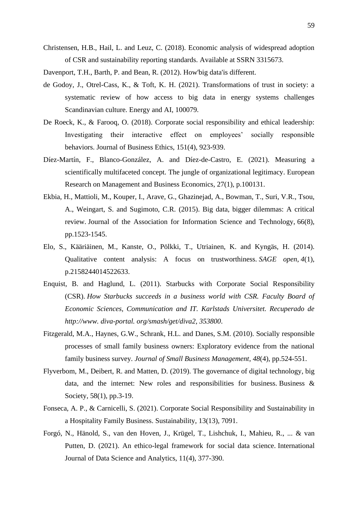- Christensen, H.B., Hail, L. and Leuz, C. (2018). Economic analysis of widespread adoption of CSR and sustainability reporting standards. Available at SSRN 3315673.
- Davenport, T.H., Barth, P. and Bean, R. (2012). How'big data'is different.
- de Godoy, J., Otrel-Cass, K., & Toft, K. H. (2021). Transformations of trust in society: a systematic review of how access to big data in energy systems challenges Scandinavian culture. Energy and AI, 100079.
- De Roeck, K., & Farooq, O. (2018). Corporate social responsibility and ethical leadership: Investigating their interactive effect on employees' socially responsible behaviors. Journal of Business Ethics, 151(4), 923-939.
- Díez-Martín, F., Blanco-González, A. and Díez-de-Castro, E. (2021). Measuring a scientifically multifaceted concept. The jungle of organizational legitimacy. European Research on Management and Business Economics, 27(1), p.100131.
- Ekbia, H., Mattioli, M., Kouper, I., Arave, G., Ghazinejad, A., Bowman, T., Suri, V.R., Tsou, A., Weingart, S. and Sugimoto, C.R. (2015). Big data, bigger dilemmas: A critical review. Journal of the Association for Information Science and Technology, 66(8), pp.1523-1545.
- Elo, S., Kääriäinen, M., Kanste, O., Pölkki, T., Utriainen, K. and Kyngäs, H. (2014). Qualitative content analysis: A focus on trustworthiness. *SAGE open*, *4*(1), p.2158244014522633.
- Enquist, B. and Haglund, L. (2011). Starbucks with Corporate Social Responsibility (CSR). *How Starbucks succeeds in a business world with CSR. Faculty Board of Economic Sciences, Communication and IT. Karlstads Universitet. Recuperado de http://www. diva-portal. org/smash/get/diva2*, *353800*.
- Fitzgerald, M.A., Haynes, G.W., Schrank, H.L. and Danes, S.M. (2010). Socially responsible processes of small family business owners: Exploratory evidence from the national family business survey. *Journal of Small Business Management*, *48*(4), pp.524-551.
- Flyverbom, M., Deibert, R. and Matten, D. (2019). The governance of digital technology, big data, and the internet: New roles and responsibilities for business. Business & Society, 58(1), pp.3-19.
- Fonseca, A. P., & Carnicelli, S. (2021). Corporate Social Responsibility and Sustainability in a Hospitality Family Business. Sustainability, 13(13), 7091.
- Forgó, N., Hänold, S., van den Hoven, J., Krügel, T., Lishchuk, I., Mahieu, R., ... & van Putten, D. (2021). An ethico-legal framework for social data science. International Journal of Data Science and Analytics, 11(4), 377-390.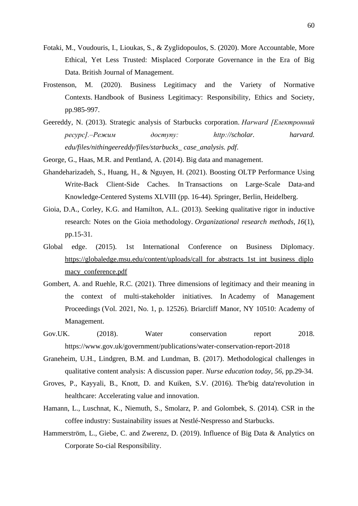- Fotaki, M., Voudouris, I., Lioukas, S., & Zyglidopoulos, S. (2020). More Accountable, More Ethical, Yet Less Trusted: Misplaced Corporate Governance in the Era of Big Data. British Journal of Management.
- Frostenson, M. (2020). Business Legitimacy and the Variety of Normative Contexts. Handbook of Business Legitimacy: Responsibility, Ethics and Society, pp.985-997.
- Geereddy, N. (2013). Strategic analysis of Starbucks corporation. *Harward [Електронний ресурс].–Режим доступу: http://scholar. harvard. edu/files/nithingeereddy/files/starbucks\_ case\_analysis. pdf*.
- George, G., Haas, M.R. and Pentland, A. (2014). Big data and management.
- Ghandeharizadeh, S., Huang, H., & Nguyen, H. (2021). Boosting OLTP Performance Using Write-Back Client-Side Caches. In Transactions on Large-Scale Data-and Knowledge-Centered Systems XLVIII (pp. 16-44). Springer, Berlin, Heidelberg.
- Gioia, D.A., Corley, K.G. and Hamilton, A.L. (2013). Seeking qualitative rigor in inductive research: Notes on the Gioia methodology. *Organizational research methods*, *16*(1), pp.15-31.
- Global edge. (2015). 1st International Conference on Business Diplomacy. [https://globaledge.msu.edu/content/uploads/call\\_for\\_abstracts\\_1st\\_int\\_business\\_diplo](https://globaledge.msu.edu/content/uploads/call_for_abstracts_1st_int_business_diplomacy_conference.pdf) [macy\\_conference.pdf](https://globaledge.msu.edu/content/uploads/call_for_abstracts_1st_int_business_diplomacy_conference.pdf)
- Gombert, A. and Ruehle, R.C. (2021). Three dimensions of legitimacy and their meaning in the context of multi-stakeholder initiatives. In Academy of Management Proceedings (Vol. 2021, No. 1, p. 12526). Briarcliff Manor, NY 10510: Academy of Management.
- Gov.UK. (2018). Water conservation report 2018. https://www.gov.uk/government/publications/water-conservation-report-2018
- Graneheim, U.H., Lindgren, B.M. and Lundman, B. (2017). Methodological challenges in qualitative content analysis: A discussion paper. *Nurse education today*, *56*, pp.29-34.
- Groves, P., Kayyali, B., Knott, D. and Kuiken, S.V. (2016). The'big data'revolution in healthcare: Accelerating value and innovation.
- Hamann, L., Luschnat, K., Niemuth, S., Smolarz, P. and Golombek, S. (2014). CSR in the coffee industry: Sustainability issues at Nestlé-Nespresso and Starbucks.
- Hammerström, L., Giebe, C. and Zwerenz, D. (2019). Influence of Big Data & Analytics on Corporate So-cial Responsibility.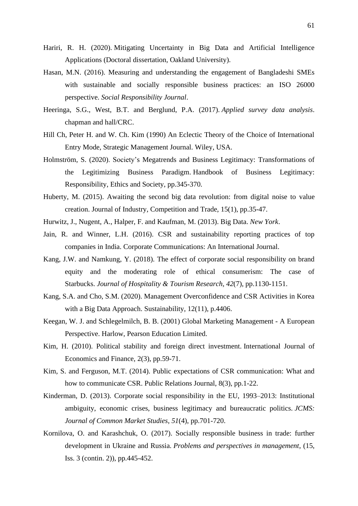- Hariri, R. H. (2020). Mitigating Uncertainty in Big Data and Artificial Intelligence Applications (Doctoral dissertation, Oakland University).
- Hasan, M.N. (2016). Measuring and understanding the engagement of Bangladeshi SMEs with sustainable and socially responsible business practices: an ISO 26000 perspective. *Social Responsibility Journal*.
- Heeringa, S.G., West, B.T. and Berglund, P.A. (2017). *Applied survey data analysis*. chapman and hall/CRC.
- Hill Ch, Peter H. and W. Ch. Kim (1990) An Eclectic Theory of the Choice of International Entry Mode, Strategic Management Journal. Wiley, USA.
- Holmström, S. (2020). Society's Megatrends and Business Legitimacy: Transformations of the Legitimizing Business Paradigm. Handbook of Business Legitimacy: Responsibility, Ethics and Society, pp.345-370.
- Huberty, M. (2015). Awaiting the second big data revolution: from digital noise to value creation. Journal of Industry, Competition and Trade, 15(1), pp.35-47.
- Hurwitz, J., Nugent, A., Halper, F. and Kaufman, M. (2013). Big Data. *New York*.
- Jain, R. and Winner, L.H. (2016). CSR and sustainability reporting practices of top companies in India. Corporate Communications: An International Journal.
- Kang, J.W. and Namkung, Y. (2018). The effect of corporate social responsibility on brand equity and the moderating role of ethical consumerism: The case of Starbucks. *Journal of Hospitality & Tourism Research*, *42*(7), pp.1130-1151.
- Kang, S.A. and Cho, S.M. (2020). Management Overconfidence and CSR Activities in Korea with a Big Data Approach. Sustainability, 12(11), p.4406.
- Keegan, W. J. and Schlegelmilch, B. B. (2001) Global Marketing Management A European Perspective. Harlow, Pearson Education Limited.
- Kim, H. (2010). Political stability and foreign direct investment. International Journal of Economics and Finance, 2(3), pp.59-71.
- Kim, S. and Ferguson, M.T. (2014). Public expectations of CSR communication: What and how to communicate CSR. Public Relations Journal, 8(3), pp.1-22.
- Kinderman, D. (2013). Corporate social responsibility in the EU, 1993–2013: Institutional ambiguity, economic crises, business legitimacy and bureaucratic politics. *JCMS: Journal of Common Market Studies*, *51*(4), pp.701-720.
- Kornilova, O. and Karashchuk, O. (2017). Socially responsible business in trade: further development in Ukraine and Russia. *Problems and perspectives in management*, (15, Iss. 3 (contin. 2)), pp.445-452.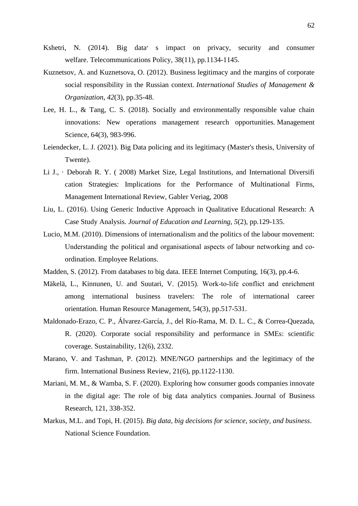- Kshetri, N. (2014). Big data׳ s impact on privacy, security and consumer welfare. Telecommunications Policy, 38(11), pp.1134-1145.
- Kuznetsov, A. and Kuznetsova, O. (2012). Business legitimacy and the margins of corporate social responsibility in the Russian context. *International Studies of Management & Organization*, *42*(3), pp.35-48.
- Lee, H. L., & Tang, C. S. (2018). Socially and environmentally responsible value chain innovations: New operations management research opportunities. Management Science, 64(3), 983-996.
- Leiendecker, L. J. (2021). Big Data policing and its legitimacy (Master's thesis, University of Twente).
- Li J., · Deborah R. Y. ( 2008) Market Size, Legal Institutions, and International Diversifi cation Strategies: Implications for the Performance of Multinational Firms, Management International Review, Gabler Veriag, 2008
- Liu, L. (2016). Using Generic Inductive Approach in Qualitative Educational Research: A Case Study Analysis. *Journal of Education and Learning*, *5*(2), pp.129-135.
- Lucio, M.M. (2010). Dimensions of internationalism and the politics of the labour movement: Understanding the political and organisational aspects of labour networking and coordination. Employee Relations.
- Madden, S. (2012). From databases to big data. IEEE Internet Computing, 16(3), pp.4-6.
- Mäkelä, L., Kinnunen, U. and Suutari, V. (2015). Work‐to‐life conflict and enrichment among international business travelers: The role of international career orientation. Human Resource Management, 54(3), pp.517-531.
- Maldonado-Erazo, C. P., Álvarez-García, J., del Río-Rama, M. D. L. C., & Correa-Quezada, R. (2020). Corporate social responsibility and performance in SMEs: scientific coverage. Sustainability, 12(6), 2332.
- Marano, V. and Tashman, P. (2012). MNE/NGO partnerships and the legitimacy of the firm. International Business Review, 21(6), pp.1122-1130.
- Mariani, M. M., & Wamba, S. F. (2020). Exploring how consumer goods companies innovate in the digital age: The role of big data analytics companies. Journal of Business Research, 121, 338-352.
- Markus, M.L. and Topi, H. (2015). *Big data, big decisions for science, society, and business*. National Science Foundation.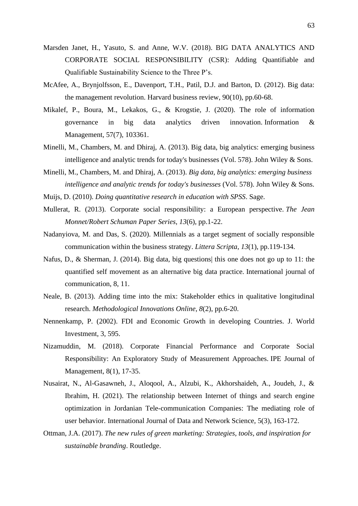- Marsden Janet, H., Yasuto, S. and Anne, W.V. (2018). BIG DATA ANALYTICS AND CORPORATE SOCIAL RESPONSIBILITY (CSR): Adding Quantifiable and Qualifiable Sustainability Science to the Three P's.
- McAfee, A., Brynjolfsson, E., Davenport, T.H., Patil, D.J. and Barton, D. (2012). Big data: the management revolution. Harvard business review, 90(10), pp.60-68.
- Mikalef, P., Boura, M., Lekakos, G., & Krogstie, J. (2020). The role of information governance in big data analytics driven innovation. Information & Management, 57(7), 103361.
- Minelli, M., Chambers, M. and Dhiraj, A. (2013). Big data, big analytics: emerging business intelligence and analytic trends for today's businesses (Vol. 578). John Wiley & Sons.
- Minelli, M., Chambers, M. and Dhiraj, A. (2013). *Big data, big analytics: emerging business intelligence and analytic trends for today's businesses* (Vol. 578). John Wiley & Sons.
- Muijs, D. (2010). *Doing quantitative research in education with SPSS*. Sage.
- Mullerat, R. (2013). Corporate social responsibility: a European perspective. *The Jean Monnet/Robert Schuman Paper Series*, *13*(6), pp.1-22.
- Nadanyiova, M. and Das, S. (2020). Millennials as a target segment of socially responsible communication within the business strategy. *Littera Scripta*, *13*(1), pp.119-134.
- Nafus, D., & Sherman, J. (2014). Big data, big questions| this one does not go up to 11: the quantified self movement as an alternative big data practice. International journal of communication, 8, 11.
- Neale, B. (2013). Adding time into the mix: Stakeholder ethics in qualitative longitudinal research. *Methodological Innovations Online*, *8*(2), pp.6-20.
- Nennenkamp, P. (2002). FDI and Economic Growth in developing Countries. J. World Investment, 3, 595.
- Nizamuddin, M. (2018). Corporate Financial Performance and Corporate Social Responsibility: An Exploratory Study of Measurement Approaches. IPE Journal of Management, 8(1), 17-35.
- Nusairat, N., Al-Gasawneh, J., Aloqool, A., Alzubi, K., Akhorshaideh, A., Joudeh, J., & Ibrahim, H. (2021). The relationship between Internet of things and search engine optimization in Jordanian Tele-communication Companies: The mediating role of user behavior. International Journal of Data and Network Science, 5(3), 163-172.
- Ottman, J.A. (2017). *The new rules of green marketing: Strategies, tools, and inspiration for sustainable branding*. Routledge.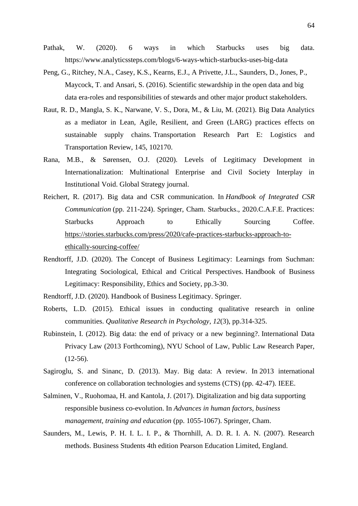- Pathak, W. (2020). 6 ways in which Starbucks uses big data. https://www.analyticssteps.com/blogs/6-ways-which-starbucks-uses-big-data
- Peng, G., Ritchey, N.A., Casey, K.S., Kearns, E.J., A Privette, J.L., Saunders, D., Jones, P., Maycock, T. and Ansari, S. (2016). Scientific stewardship in the open data and big data era-roles and responsibilities of stewards and other major product stakeholders.
- Raut, R. D., Mangla, S. K., Narwane, V. S., Dora, M., & Liu, M. (2021). Big Data Analytics as a mediator in Lean, Agile, Resilient, and Green (LARG) practices effects on sustainable supply chains. Transportation Research Part E: Logistics and Transportation Review, 145, 102170.
- Rana, M.B., & Sørensen, O.J. (2020). Levels of Legitimacy Development in Internationalization: Multinational Enterprise and Civil Society Interplay in Institutional Void. Global Strategy journal.
- Reichert, R. (2017). Big data and CSR communication. In *Handbook of Integrated CSR Communication* (pp. 211-224). Springer, Cham. Starbucks., 2020.C.A.F.E. Practices: Starbucks Approach to Ethically Sourcing Coffee. [https://stories.starbucks.com/press/2020/cafe-practices-starbucks-approach-to](https://stories.starbucks.com/press/2020/cafe-practices-starbucks-approach-to-ethically-sourcing-coffee/)[ethically-sourcing-coffee/](https://stories.starbucks.com/press/2020/cafe-practices-starbucks-approach-to-ethically-sourcing-coffee/)
- Rendtorff, J.D. (2020). The Concept of Business Legitimacy: Learnings from Suchman: Integrating Sociological, Ethical and Critical Perspectives. Handbook of Business Legitimacy: Responsibility, Ethics and Society, pp.3-30.
- Rendtorff, J.D. (2020). Handbook of Business Legitimacy. Springer.
- Roberts, L.D. (2015). Ethical issues in conducting qualitative research in online communities. *Qualitative Research in Psychology*, *12*(3), pp.314-325.
- Rubinstein, I. (2012). Big data: the end of privacy or a new beginning?. International Data Privacy Law (2013 Forthcoming), NYU School of Law, Public Law Research Paper,  $(12-56)$ .
- Sagiroglu, S. and Sinanc, D. (2013). May. Big data: A review. In 2013 international conference on collaboration technologies and systems (CTS) (pp. 42-47). IEEE.
- Salminen, V., Ruohomaa, H. and Kantola, J. (2017). Digitalization and big data supporting responsible business co-evolution. In *Advances in human factors, business management, training and education* (pp. 1055-1067). Springer, Cham.
- Saunders, M., Lewis, P. H. I. L. I. P., & Thornhill, A. D. R. I. A. N. (2007). Research methods. Business Students 4th edition Pearson Education Limited, England.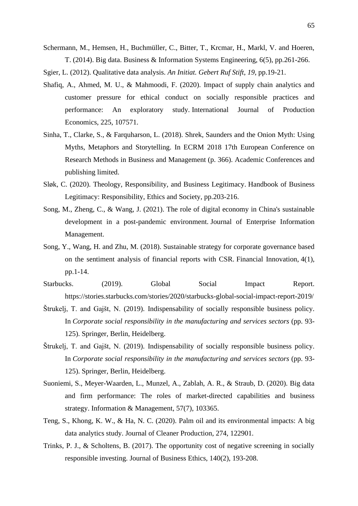Schermann, M., Hemsen, H., Buchmüller, C., Bitter, T., Krcmar, H., Markl, V. and Hoeren, T. (2014). Big data. Business & Information Systems Engineering, 6(5), pp.261-266.

Sgier, L. (2012). Qualitative data analysis. *An Initiat. Gebert Ruf Stift*, *19*, pp.19-21.

- Shafiq, A., Ahmed, M. U., & Mahmoodi, F. (2020). Impact of supply chain analytics and customer pressure for ethical conduct on socially responsible practices and performance: An exploratory study. International Journal of Production Economics, 225, 107571.
- Sinha, T., Clarke, S., & Farquharson, L. (2018). Shrek, Saunders and the Onion Myth: Using Myths, Metaphors and Storytelling. In ECRM 2018 17th European Conference on Research Methods in Business and Management (p. 366). Academic Conferences and publishing limited.
- Sløk, C. (2020). Theology, Responsibility, and Business Legitimacy. Handbook of Business Legitimacy: Responsibility, Ethics and Society, pp.203-216.
- Song, M., Zheng, C., & Wang, J. (2021). The role of digital economy in China's sustainable development in a post-pandemic environment. Journal of Enterprise Information Management.
- Song, Y., Wang, H. and Zhu, M. (2018). Sustainable strategy for corporate governance based on the sentiment analysis of financial reports with CSR. Financial Innovation, 4(1), pp.1-14.
- Starbucks. (2019). Global Social Impact Report. https://stories.starbucks.com/stories/2020/starbucks-global-social-impact-report-2019/
- Štrukelj, T. and Gajšt, N. (2019). Indispensability of socially responsible business policy. In *Corporate social responsibility in the manufacturing and services sectors* (pp. 93- 125). Springer, Berlin, Heidelberg.
- Štrukelj, T. and Gajšt, N. (2019). Indispensability of socially responsible business policy. In *Corporate social responsibility in the manufacturing and services sectors* (pp. 93- 125). Springer, Berlin, Heidelberg.
- Suoniemi, S., Meyer-Waarden, L., Munzel, A., Zablah, A. R., & Straub, D. (2020). Big data and firm performance: The roles of market-directed capabilities and business strategy. Information & Management, 57(7), 103365.
- Teng, S., Khong, K. W., & Ha, N. C. (2020). Palm oil and its environmental impacts: A big data analytics study. Journal of Cleaner Production, 274, 122901.
- Trinks, P. J., & Scholtens, B. (2017). The opportunity cost of negative screening in socially responsible investing. Journal of Business Ethics, 140(2), 193-208.